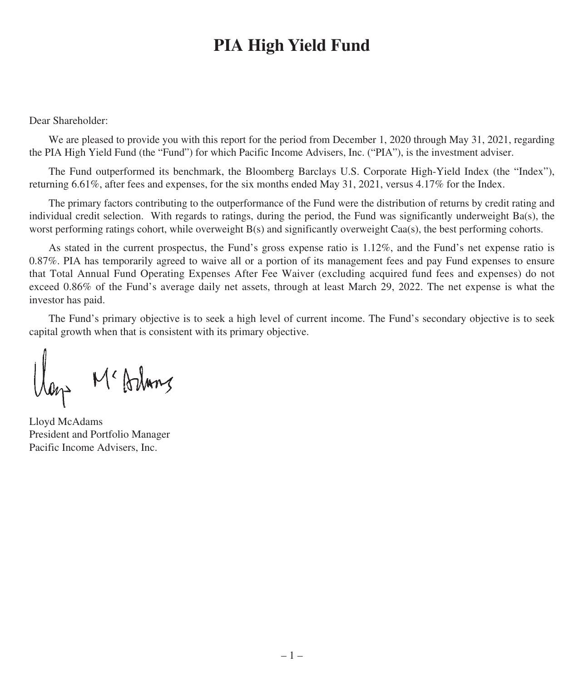Dear Shareholder:

We are pleased to provide you with this report for the period from December 1, 2020 through May 31, 2021, regarding the PIA High Yield Fund (the "Fund") for which Pacific Income Advisers, Inc. ("PIA"), is the investment adviser.

The Fund outperformed its benchmark, the Bloomberg Barclays U.S. Corporate High-Yield Index (the "Index"), returning 6.61%, after fees and expenses, for the six months ended May 31, 2021, versus 4.17% for the Index.

The primary factors contributing to the outperformance of the Fund were the distribution of returns by credit rating and individual credit selection. With regards to ratings, during the period, the Fund was significantly underweight Ba(s), the worst performing ratings cohort, while overweight B(s) and significantly overweight Caa(s), the best performing cohorts.

As stated in the current prospectus, the Fund's gross expense ratio is 1.12%, and the Fund's net expense ratio is 0.87%. PIA has temporarily agreed to waive all or a portion of its management fees and pay Fund expenses to ensure that Total Annual Fund Operating Expenses After Fee Waiver (excluding acquired fund fees and expenses) do not exceed 0.86% of the Fund's average daily net assets, through at least March 29, 2022. The net expense is what the investor has paid.

The Fund's primary objective is to seek a high level of current income. The Fund's secondary objective is to seek capital growth when that is consistent with its primary objective.

llan Mc Arlung

Lloyd McAdams President and Portfolio Manager Pacific Income Advisers, Inc.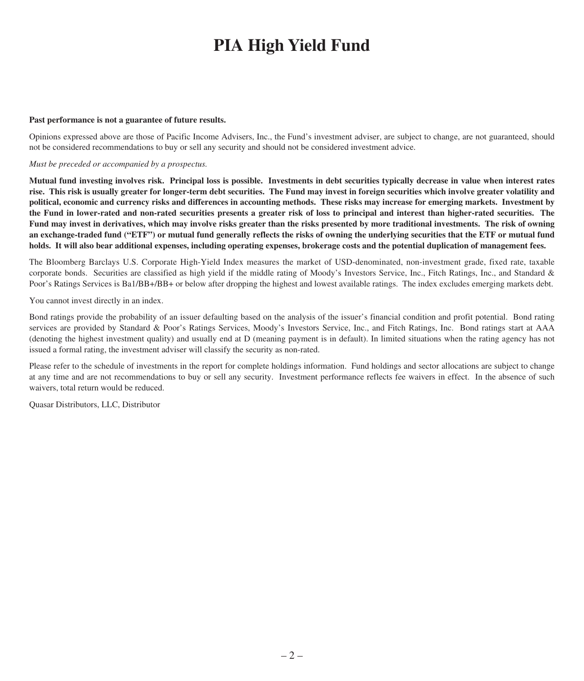#### **Past performance is not a guarantee of future results.**

Opinions expressed above are those of Pacific Income Advisers, Inc., the Fund's investment adviser, are subject to change, are not guaranteed, should not be considered recommendations to buy or sell any security and should not be considered investment advice.

#### *Must be preceded or accompanied by a prospectus.*

Mutual fund investing involves risk. Principal loss is possible. Investments in debt securities typically decrease in value when interest rates rise. This risk is usually greater for longer-term debt securities. The Fund may invest in foreign securities which involve greater volatility and political, economic and currency risks and differences in accounting methods. These risks may increase for emerging markets. Investment by the Fund in lower-rated and non-rated securities presents a greater risk of loss to principal and interest than higher-rated securities. The Fund may invest in derivatives, which may involve risks greater than the risks presented by more traditional investments. The risk of owning an exchange-traded fund ("ETF") or mutual fund generally reflects the risks of owning the underlying securities that the ETF or mutual fund holds. It will also bear additional expenses, including operating expenses, brokerage costs and the potential duplication of management fees.

The Bloomberg Barclays U.S. Corporate High-Yield Index measures the market of USD-denominated, non-investment grade, fixed rate, taxable corporate bonds. Securities are classified as high yield if the middle rating of Moody's Investors Service, Inc., Fitch Ratings, Inc., and Standard & Poor's Ratings Services is Ba1/BB+/BB+ or below after dropping the highest and lowest available ratings. The index excludes emerging markets debt.

You cannot invest directly in an index.

Bond ratings provide the probability of an issuer defaulting based on the analysis of the issuer's financial condition and profit potential. Bond rating services are provided by Standard & Poor's Ratings Services, Moody's Investors Service, Inc., and Fitch Ratings, Inc. Bond ratings start at AAA (denoting the highest investment quality) and usually end at D (meaning payment is in default). In limited situations when the rating agency has not issued a formal rating, the investment adviser will classify the security as non-rated.

Please refer to the schedule of investments in the report for complete holdings information. Fund holdings and sector allocations are subject to change at any time and are not recommendations to buy or sell any security. Investment performance reflects fee waivers in effect. In the absence of such waivers, total return would be reduced.

Quasar Distributors, LLC, Distributor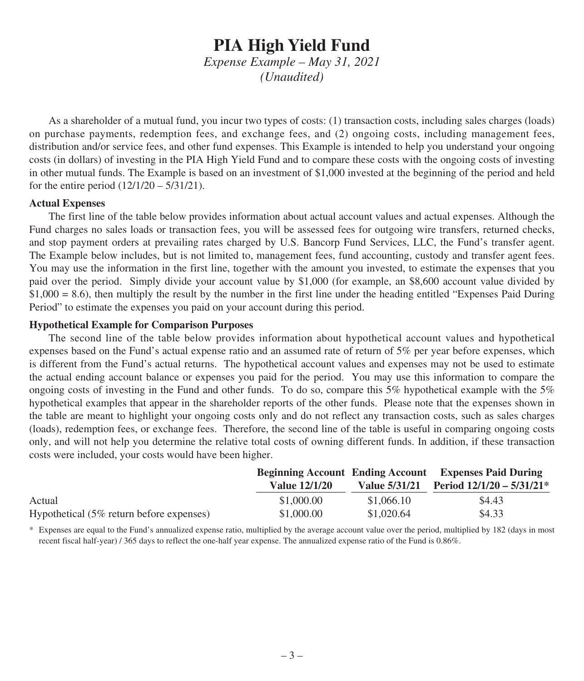*Expense Example – May 31, 2021 (Unaudited)*

As a shareholder of a mutual fund, you incur two types of costs: (1) transaction costs, including sales charges (loads) on purchase payments, redemption fees, and exchange fees, and (2) ongoing costs, including management fees, distribution and/or service fees, and other fund expenses. This Example is intended to help you understand your ongoing costs (in dollars) of investing in the PIA High Yield Fund and to compare these costs with the ongoing costs of investing in other mutual funds. The Example is based on an investment of \$1,000 invested at the beginning of the period and held for the entire period (12/1/20 – 5/31/21).

#### **Actual Expenses**

The first line of the table below provides information about actual account values and actual expenses. Although the Fund charges no sales loads or transaction fees, you will be assessed fees for outgoing wire transfers, returned checks, and stop payment orders at prevailing rates charged by U.S. Bancorp Fund Services, LLC, the Fund's transfer agent. The Example below includes, but is not limited to, management fees, fund accounting, custody and transfer agent fees. You may use the information in the first line, together with the amount you invested, to estimate the expenses that you paid over the period. Simply divide your account value by \$1,000 (for example, an \$8,600 account value divided by  $$1,000 = 8.6$ ), then multiply the result by the number in the first line under the heading entitled "Expenses Paid During" Period" to estimate the expenses you paid on your account during this period.

#### **Hypothetical Example for Comparison Purposes**

The second line of the table below provides information about hypothetical account values and hypothetical expenses based on the Fund's actual expense ratio and an assumed rate of return of 5% per year before expenses, which is different from the Fund's actual returns. The hypothetical account values and expenses may not be used to estimate the actual ending account balance or expenses you paid for the period. You may use this information to compare the ongoing costs of investing in the Fund and other funds. To do so, compare this 5% hypothetical example with the 5% hypothetical examples that appear in the shareholder reports of the other funds. Please note that the expenses shown in the table are meant to highlight your ongoing costs only and do not reflect any transaction costs, such as sales charges (loads), redemption fees, or exchange fees. Therefore, the second line of the table is useful in comparing ongoing costs only, and will not help you determine the relative total costs of owning different funds. In addition, if these transaction costs were included, your costs would have been higher.

|                                          | <b>Value 12/1/20</b> |            | <b>Beginning Account Ending Account Expenses Paid During</b><br>Value $5/31/21$ Period $12/1/20 - 5/31/21$ <sup>*</sup> |
|------------------------------------------|----------------------|------------|-------------------------------------------------------------------------------------------------------------------------|
| Actual                                   | \$1,000.00           | \$1,066.10 | \$4.43                                                                                                                  |
| Hypothetical (5% return before expenses) | \$1,000.00           | \$1,020.64 | \$4.33                                                                                                                  |

\* Expenses are equal to the Fund's annualized expense ratio, multiplied by the average account value over the period, multiplied by 182 (days in most recent fiscal half-year) / 365 days to reflect the one-half year expense. The annualized expense ratio of the Fund is 0.86%.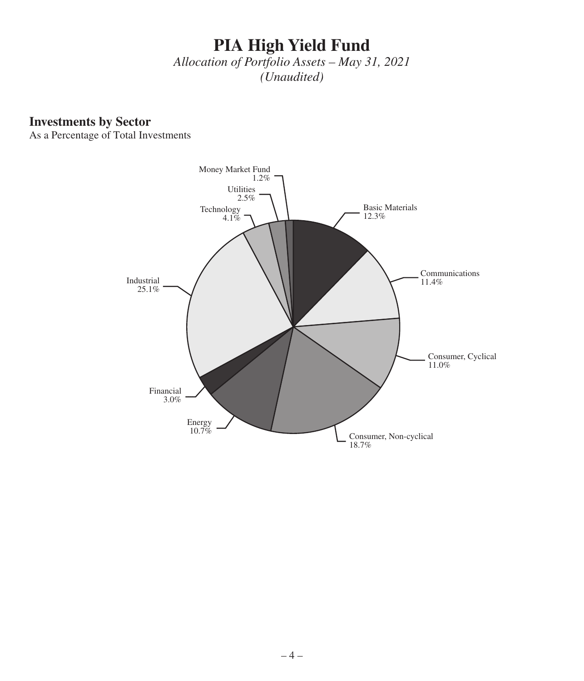*Allocation of Portfolio Assets – May 31, 2021 (Unaudited)*

### **Investments by Sector**

As a Percentage of Total Investments

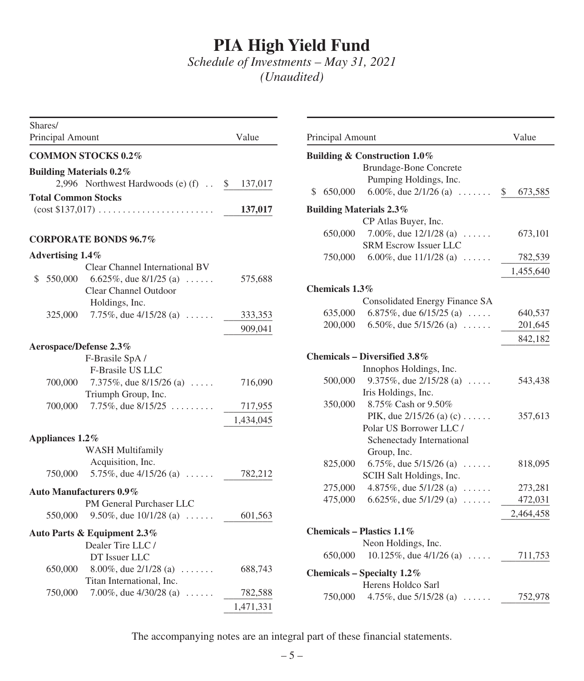*Schedule of Investments – May 31, 2021 (Unaudited)*

| Shares/<br>Principal Amount                                              | Value         | Principal Amount                                                                                          | Value      |
|--------------------------------------------------------------------------|---------------|-----------------------------------------------------------------------------------------------------------|------------|
| <b>COMMON STOCKS 0.2%</b>                                                |               | Building & Construction 1.0%                                                                              |            |
| <b>Building Materials 0.2%</b><br>2,996 Northwest Hardwoods (e) $(f)$ .  | 137,017<br>\$ | <b>Brundage-Bone Concrete</b><br>Pumping Holdings, Inc.<br>6.00%, due $2/1/26$ (a) $\ldots$<br>\$ 650,000 | 673,<br>\$ |
| <b>Total Common Stocks</b>                                               |               |                                                                                                           |            |
| $(\text{cost } $137,017) \dots \dots \dots \dots \dots \dots \dots$      | 137,017       | <b>Building Materials 2.3%</b>                                                                            |            |
| <b>CORPORATE BONDS 96.7%</b>                                             |               | CP Atlas Buyer, Inc.<br>7.00%, due $12/1/28$ (a)<br>650,000<br><b>SRM Escrow Issuer LLC</b>               | 673,       |
| Advertising 1.4%                                                         |               | 6.00%, due $11/1/28$ (a) $\ldots$ .<br>750,000                                                            | 782,       |
| Clear Channel International BV<br>6.625%, due $8/1/25$ (a)<br>\$ 550,000 | 575,688       |                                                                                                           | 1,455,     |
| Clear Channel Outdoor                                                    |               | Chemicals 1.3%                                                                                            |            |
| Holdings, Inc.                                                           |               | Consolidated Energy Finance SA                                                                            |            |
| 7.75%, due $4/15/28$ (a)<br>325,000                                      | 333,353       | 6.875%, due $6/15/25$ (a)<br>635,000                                                                      | 640,       |
|                                                                          | 909,041       | 6.50%, due $5/15/26$ (a)<br>200,000                                                                       | 201,       |
| Aerospace/Defense 2.3%                                                   |               |                                                                                                           | 842,       |
| F-Brasile SpA/<br>F-Brasile US LLC                                       |               | Chemicals - Diversified 3.8%<br>Innophos Holdings, Inc.                                                   |            |
| 7.375%, due $8/15/26$ (a)<br>700,000<br>Triumph Group, Inc.              | 716,090       | 9.375%, due $2/15/28$ (a)<br>500,000<br>Iris Holdings, Inc.                                               | 543,       |
| 7.75%, due $8/15/25$<br>700,000                                          | 717,955       | 8.75% Cash or 9.50%<br>350,000                                                                            |            |
|                                                                          | 1,434,045     | PIK, due $2/15/26$ (a) (c)<br>Polar US Borrower LLC /                                                     | 357,       |
| Appliances 1.2%                                                          |               | Schenectady International                                                                                 |            |
| <b>WASH Multifamily</b>                                                  |               | Group, Inc.                                                                                               |            |
| Acquisition, Inc.<br>750,000<br>5.75\%, due $4/15/26$ (a)                | 782,212       | 6.75%, due $5/15/26$ (a) $\ldots$<br>825,000<br>SCIH Salt Holdings, Inc.                                  | 818.       |
| <b>Auto Manufacturers 0.9%</b>                                           |               | 275,000<br>4.875\%, due $5/1/28$ (a)                                                                      | 273,       |
| PM General Purchaser LLC                                                 |               | 6.625%, due $5/1/29$ (a)<br>475,000                                                                       | 472,       |
| 550,000<br>9.50%, due $10/1/28$ (a)                                      | 601,563       |                                                                                                           | 2,464,     |
| Auto Parts & Equipment 2.3%<br>Dealer Tire LLC /                         |               | Chemicals - Plastics 1.1%<br>Neon Holdings, Inc.                                                          |            |
| DT Issuer LLC                                                            |               | 10.125\%, due $4/1/26$ (a)<br>650,000                                                                     | 711,       |
| 650,000<br>8.00%, due $2/1/28$ (a) $\ldots$<br>Titan International, Inc. | 688,743       | Chemicals - Specialty 1.2%<br>Herens Holdco Sarl                                                          |            |
| 750,000<br>7.00%, due $4/30/28$ (a)                                      | 782,588       | 4.75%, due $5/15/28$ (a)<br>750,000                                                                       | 752,       |
|                                                                          | 1,471,331     |                                                                                                           |            |

| Principal Amount  |                                                                                                    | Value         |
|-------------------|----------------------------------------------------------------------------------------------------|---------------|
|                   | <b>Building &amp; Construction 1.0%</b><br><b>Brundage-Bone Concrete</b><br>Pumping Holdings, Inc. |               |
| \$<br>650,000     | 6.00%, due $2/1/26$ (a) $\ldots \ldots$                                                            | \$<br>673,585 |
|                   | <b>Building Materials 2.3%</b>                                                                     |               |
|                   | CP Atlas Buyer, Inc.                                                                               |               |
| 650,000           | 7.00%, due $12/1/28$ (a)<br>.<br><b>SRM Escrow Issuer LLC</b>                                      | 673,101       |
|                   | 750,000 6.00%, due $11/1/28$ (a)                                                                   | 782,539       |
|                   |                                                                                                    | 1,455,640     |
| Chemicals $1.3\%$ |                                                                                                    |               |
|                   | Consolidated Energy Finance SA                                                                     |               |
| 635,000           | 6.875%, due $6/15/25$ (a)                                                                          | 640,537       |
| 200,000           | 6.50%, due $5/15/26$ (a)                                                                           | 201,645       |
|                   |                                                                                                    | 842,182       |
|                   | Chemicals – Diversified 3.8%                                                                       |               |
|                   | Innophos Holdings, Inc.                                                                            |               |
| 500,000           | 9.375\%, due $2/15/28$ (a)                                                                         | 543,438       |
|                   | Iris Holdings, Inc.                                                                                |               |
| 350,000           | 8.75% Cash or 9.50%                                                                                |               |
|                   | PIK, due $2/15/26$ (a) (c)                                                                         | 357,613       |
|                   | Polar US Borrower LLC /                                                                            |               |
|                   | Schenectady International                                                                          |               |
|                   | Group, Inc.                                                                                        |               |
| 825,000           | 6.75%, due $5/15/26$ (a) $\ldots$ .                                                                | 818,095       |
|                   | SCIH Salt Holdings, Inc.                                                                           |               |
| 275,000           | 4.875\%, due $5/1/28$ (a)<br>.                                                                     | 273,281       |
| 475,000           | 6.625%, due $5/1/29$ (a)<br>.                                                                      | 472,031       |
|                   |                                                                                                    | 2,464,458     |
|                   | Chemicals - Plastics 1.1%                                                                          |               |
|                   | Neon Holdings, Inc.                                                                                |               |
| 650,000           | 10.125%, due $4/1/26$ (a)                                                                          | 711,753       |
|                   | Chemicals - Specialty $1.2\%$                                                                      |               |
|                   | Herens Holdco Sarl                                                                                 |               |
|                   | 750,000 4.75%, due $5/15/28$ (a)                                                                   | 752,978       |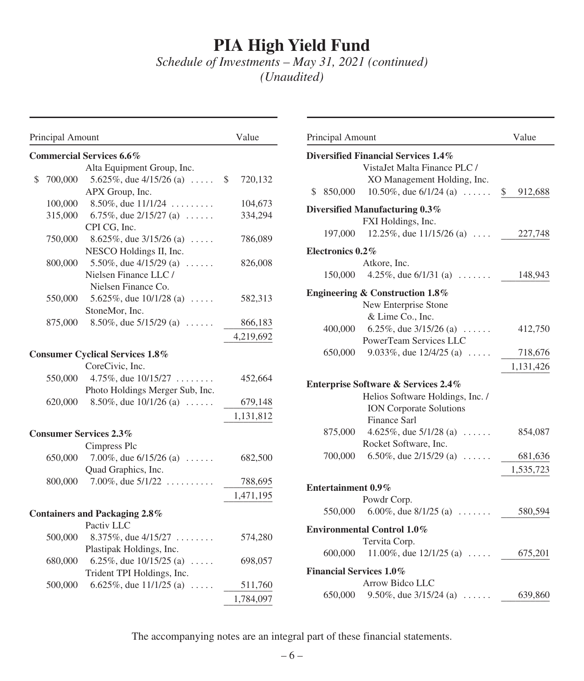*Schedule of Investments – May 31, 2021 (continued) (Unaudited)*

| Principal Amount |                                                                             | Value         | Principal Amount                                                                                      | Value      |
|------------------|-----------------------------------------------------------------------------|---------------|-------------------------------------------------------------------------------------------------------|------------|
|                  | <b>Commercial Services 6.6%</b>                                             |               | Diversified Financial Services 1.4%                                                                   |            |
| \$<br>700,000    | Alta Equipment Group, Inc.<br>5.625\%, due $4/15/26$ (a)<br>APX Group, Inc. | 720,132<br>S. | VistaJet Malta Finance PLC /<br>XO Management Holding, Inc.<br>10.50%, due $6/1/24$ (a)<br>\$ 850,000 | 912,<br>\$ |
| 100,000          | 8.50%, due $11/1/24$                                                        | 104,673       | Diversified Manufacturing 0.3%                                                                        |            |
| 315,000          | 6.75%, due $2/15/27$ (a)<br>CPI CG, Inc.                                    | 334,294       | FXI Holdings, Inc.                                                                                    |            |
| 750,000          | 8.625%, due $3/15/26$ (a)                                                   | 786,089       | 12.25%, due $11/15/26$ (a)<br>197,000                                                                 | 227,       |
|                  | NESCO Holdings II, Inc.                                                     |               | Electronics 0.2%                                                                                      |            |
| 800,000          | 5.50%, due $4/15/29$ (a)                                                    | 826,008       | Atkore, Inc.                                                                                          |            |
|                  | Nielsen Finance LLC /                                                       |               | 4.25%, due $6/1/31$ (a) $\dots$<br>150,000                                                            | 148,       |
| 550,000          | Nielsen Finance Co.<br>5.625\%, due $10/1/28$ (a)<br>StoneMor, Inc.         | 582,313       | <b>Engineering &amp; Construction 1.8%</b><br>New Enterprise Stone                                    |            |
| 875,000          | 8.50%, due $5/15/29$ (a)                                                    | 866,183       | & Lime Co., Inc.<br>6.25%, due $3/15/26$ (a)<br>400,000                                               | 412,       |
|                  |                                                                             | 4,219,692     | PowerTeam Services LLC                                                                                |            |
|                  | <b>Consumer Cyclical Services 1.8%</b>                                      |               | 9.033%, due $12/4/25$ (a)<br>650,000                                                                  | 718,       |
|                  | CoreCivic, Inc.                                                             |               |                                                                                                       | 1,131,     |
| 550,000          | 4.75%, due $10/15/27$<br>Photo Holdings Merger Sub, Inc.                    | 452,664       | <b>Enterprise Software &amp; Services 2.4%</b>                                                        |            |
| 620,000          | 8.50%, due $10/1/26$ (a)                                                    | 679,148       | Helios Software Holdings, Inc. /                                                                      |            |
|                  |                                                                             | 1,131,812     | <b>ION</b> Corporate Solutions<br>Finance Sarl                                                        |            |
|                  | <b>Consumer Services 2.3%</b>                                               |               | 4.625%, due $5/1/28$ (a)<br>875,000                                                                   | 854,       |
|                  | Cimpress Plc                                                                |               | Rocket Software, Inc.                                                                                 |            |
| 650,000          | 7.00%, due $6/15/26$ (a) $\ldots$ .                                         | 682,500       | 700,000<br>6.50%, due $2/15/29$ (a)                                                                   | 681,       |
| 800,000          | Quad Graphics, Inc.<br>7.00%, due $5/1/22$                                  | 788,695       |                                                                                                       | 1,535,     |
|                  |                                                                             | 1,471,195     | Entertainment 0.9%                                                                                    |            |
|                  |                                                                             |               | Powdr Corp.                                                                                           |            |
|                  | <b>Containers and Packaging 2.8%</b>                                        |               | 550,000<br>6.00%, due $8/1/25$ (a)                                                                    | 580,       |
| 500,000          | Pactiv LLC<br>8.375%, due $4/15/27$                                         | 574,280       | <b>Environmental Control 1.0%</b>                                                                     |            |
|                  | Plastipak Holdings, Inc.                                                    |               | Tervita Corp.                                                                                         |            |
| 680,000          | 6.25%, due $10/15/25$ (a)                                                   | 698,057       | 600,000<br>11.00%, due $12/1/25$ (a)                                                                  | 675,       |
|                  | Trident TPI Holdings, Inc.                                                  |               | <b>Financial Services 1.0%</b>                                                                        |            |
| 500,000          | 6.625\%, due $11/1/25$ (a)                                                  | 511,760       | Arrow Bidco LLC                                                                                       |            |
|                  |                                                                             | 1,784,097     | 650,000 9.50%, due $3/15/24$ (a)                                                                      | 639,       |

| Principal Amount               |                                                                                                    | Value     |
|--------------------------------|----------------------------------------------------------------------------------------------------|-----------|
|                                | Diversified Financial Services 1.4%<br>VistaJet Malta Finance PLC /<br>XO Management Holding, Inc. |           |
| \$<br>850,000                  | 10.50%, due $6/1/24$ (a)  \$                                                                       | 912,688   |
|                                | Diversified Manufacturing 0.3%                                                                     |           |
| 197,000                        | FXI Holdings, Inc.<br>12.25\%, due $11/15/26$ (a)                                                  | 227,748   |
| Electronics 0.2%               |                                                                                                    |           |
|                                | Atkore, Inc.                                                                                       |           |
| 150,000                        | 4.25%, due $6/1/31$ (a)                                                                            | 148,943   |
|                                | <b>Engineering &amp; Construction 1.8%</b>                                                         |           |
|                                | New Enterprise Stone                                                                               |           |
|                                | & Lime Co., Inc.                                                                                   |           |
| 400,000                        | 6.25%, due $3/15/26$ (a)<br>PowerTeam Services LLC                                                 | 412,750   |
| 650,000                        | 9.033\%, due $12/4/25$ (a)                                                                         | 718,676   |
|                                |                                                                                                    | 1,131,426 |
|                                |                                                                                                    |           |
|                                | Enterprise Software & Services 2.4%<br>Helios Software Holdings, Inc. /                            |           |
|                                | <b>ION Corporate Solutions</b>                                                                     |           |
|                                | Finance Sarl                                                                                       |           |
| 875,000                        | 4.625\%, due $5/1/28$ (a)                                                                          | 854,087   |
|                                | Rocket Software, Inc.                                                                              |           |
| 700,000                        | 6.50%, due $2/15/29$ (a)                                                                           | 681,636   |
|                                |                                                                                                    | 1,535,723 |
| <b>Entertainment 0.9%</b>      |                                                                                                    |           |
|                                | Powdr Corp.                                                                                        |           |
|                                | 550,000 6.00%, due $8/1/25$ (a)                                                                    | 580,594   |
|                                | <b>Environmental Control 1.0%</b>                                                                  |           |
|                                | Tervita Corp.                                                                                      |           |
| 600,000                        | 11.00%, due $12/1/25$ (a)                                                                          | 675,201   |
| <b>Financial Services 1.0%</b> |                                                                                                    |           |
|                                | Arrow Bidco LLC                                                                                    |           |
| 650,000                        | 9.50%, due $3/15/24$ (a)                                                                           | 639,860   |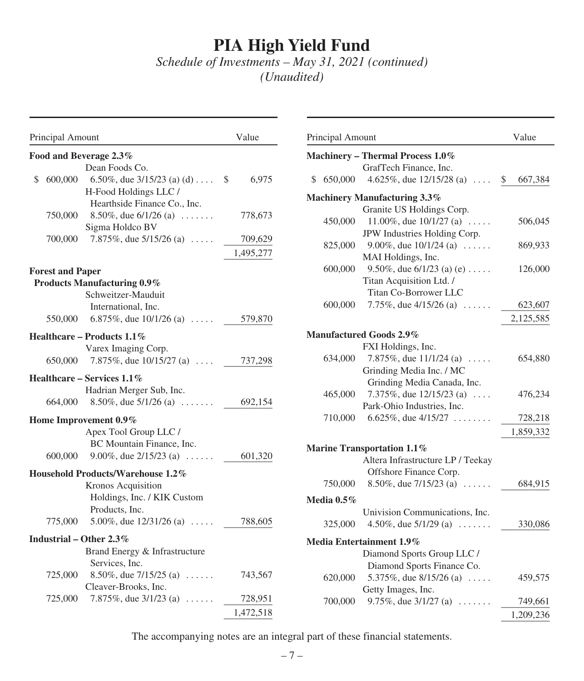*Schedule of Investments – May 31, 2021 (continued) (Unaudited)*

| Principal Amount              |                                                                 | Value       | Principal Amount |                                                                 | Value                |
|-------------------------------|-----------------------------------------------------------------|-------------|------------------|-----------------------------------------------------------------|----------------------|
| Food and Beverage 2.3%        |                                                                 |             |                  | Machinery - Thermal Process 1.0%                                |                      |
|                               | Dean Foods Co.                                                  |             |                  | GrafTech Finance, Inc.                                          |                      |
| 600,000                       | 6.50%, due $3/15/23$ (a) (d)                                    | 6,975<br>\$ | \$ 650,000       | 4.625%, due $12/15/28$ (a)                                      | 667,<br><sup>S</sup> |
|                               | H-Food Holdings LLC /                                           |             |                  | Machinery Manufacturing 3.3%                                    |                      |
|                               | Hearthside Finance Co., Inc.<br>8.50%, due $6/1/26$ (a) $\dots$ | 778,673     |                  | Granite US Holdings Corp.                                       |                      |
| 750,000                       | Sigma Holdco BV                                                 |             | 450,000          | 11.00%, due $10/1/27$ (a)                                       | 506,                 |
| 700,000                       | 7.875%, due $5/15/26$ (a)                                       | 709,629     |                  | JPW Industries Holding Corp.                                    |                      |
|                               |                                                                 | 1,495,277   | 825,000          | 9.00%, due $10/1/24$ (a) $\ldots$ .                             | 869,                 |
|                               |                                                                 |             |                  | MAI Holdings, Inc.                                              |                      |
| <b>Forest and Paper</b>       |                                                                 |             | 600,000          | 9.50%, due $6/1/23$ (a) (e)                                     | 126,                 |
| Products Manufacturing 0.9%   |                                                                 |             |                  | Titan Acquisition Ltd. /<br>Titan Co-Borrower LLC               |                      |
|                               | Schweitzer-Mauduit                                              |             | 600,000          | 7.75%, due $4/15/26$ (a)                                        | 623,                 |
| 550,000                       | International, Inc.<br>6.875\%, due $10/1/26$ (a)               | 579,870     |                  |                                                                 | 2,125,               |
|                               |                                                                 |             |                  |                                                                 |                      |
| Healthcare – Products $1.1\%$ |                                                                 |             |                  | <b>Manufactured Goods 2.9%</b>                                  |                      |
|                               | Varex Imaging Corp.                                             |             |                  | FXI Holdings, Inc.                                              |                      |
| 650,000                       | 7.875\%, due $10/15/27$ (a)                                     | 737,298     | 634,000          | 7.875%, due $11/1/24$ (a)                                       | 654,                 |
| Healthcare – Services $1.1\%$ |                                                                 |             |                  | Grinding Media Inc. / MC<br>Grinding Media Canada, Inc.         |                      |
|                               | Hadrian Merger Sub, Inc.                                        |             | 465,000          | 7.375\%, due $12/15/23$ (a)                                     | 476,                 |
| 664,000                       | 8.50\%, due $5/1/26$ (a)                                        | 692,154     |                  | Park-Ohio Industries, Inc.                                      |                      |
| Home Improvement 0.9%         |                                                                 |             | 710,000          | 6.625%, due $4/15/27$                                           | 728,                 |
|                               | Apex Tool Group LLC /                                           |             |                  |                                                                 | 1,859,               |
|                               | BC Mountain Finance, Inc.                                       |             |                  |                                                                 |                      |
| 600,000                       | 9.00%, due $2/15/23$ (a)                                        | 601,320     |                  | Marine Transportation 1.1%<br>Altera Infrastructure LP / Teekay |                      |
|                               |                                                                 |             |                  | Offshore Finance Corp.                                          |                      |
|                               | Household Products/Warehouse 1.2%<br>Kronos Acquisition         |             | 750,000          | 8.50%, due $7/15/23$ (a)                                        | 684,                 |
|                               | Holdings, Inc. / KIK Custom                                     |             |                  |                                                                 |                      |
|                               | Products, Inc.                                                  |             | Media $0.5\%$    |                                                                 |                      |
| 775,000                       | 5.00%, due $12/31/26$ (a)                                       | 788,605     | 325,000          | Univision Communications, Inc.<br>4.50%, due $5/1/29$ (a)       | 330.                 |
|                               |                                                                 |             |                  |                                                                 |                      |
| Industrial – Other $2.3\%$    |                                                                 |             |                  | Media Entertainment 1.9%                                        |                      |
|                               | Brand Energy & Infrastructure<br>Services, Inc.                 |             |                  | Diamond Sports Group LLC /                                      |                      |
| 725,000                       | 8.50%, due $7/15/25$ (a)                                        | 743,567     |                  | Diamond Sports Finance Co.                                      |                      |
|                               | Cleaver-Brooks, Inc.                                            |             | 620,000          | 5.375\%, due $8/15/26$ (a)<br>Getty Images, Inc.                | 459,                 |
| 725,000                       | 7.875\%, due $3/1/23$ (a)                                       | 728,951     | 700,000          | 9.75%, due $3/1/27$ (a) $\ldots \ldots$                         | 749,                 |
|                               |                                                                 | 1,472,518   |                  |                                                                 | 1.209.               |
|                               |                                                                 |             |                  |                                                                 |                      |

| Principal Amount |                                     | Value                    |
|------------------|-------------------------------------|--------------------------|
|                  | Machinery - Thermal Process 1.0%    |                          |
|                  | GrafTech Finance, Inc.              |                          |
| \$<br>650,000    | 4.625\%, due $12/15/28$ (a)         | $\mathcal{S}$<br>667,384 |
|                  | <b>Machinery Manufacturing 3.3%</b> |                          |
|                  | Granite US Holdings Corp.           |                          |
| 450,000          | 11.00%, due $10/1/27$ (a)           | 506,045                  |
|                  | JPW Industries Holding Corp.        |                          |
| 825,000          | 9.00%, due $10/1/24$ (a)            | 869,933                  |
|                  | MAI Holdings, Inc.                  |                          |
| 600,000          | 9.50%, due $6/1/23$ (a) (e)         | 126,000                  |
|                  | Titan Acquisition Ltd. /            |                          |
|                  | <b>Titan Co-Borrower LLC</b>        |                          |
| 600,000          | 7.75%, due $4/15/26$ (a) $\ldots$ . | 623,607                  |
|                  |                                     | 2,125,585                |
|                  | <b>Manufactured Goods 2.9%</b>      |                          |
|                  | FXI Holdings, Inc.                  |                          |
| 634,000          | 7.875%, due $11/1/24$ (a)           | 654,880                  |
|                  | Grinding Media Inc. / MC            |                          |
|                  | Grinding Media Canada, Inc.         |                          |
| 465,000          | 7.375%, due $12/15/23$ (a)          | 476,234                  |
|                  | Park-Ohio Industries, Inc.          |                          |
| 710,000          | 6.625\%, due 4/15/27                | 728,218                  |
|                  |                                     |                          |
|                  |                                     | 1,859,332                |
|                  | <b>Marine Transportation 1.1%</b>   |                          |
|                  | Altera Infrastructure LP / Teekay   |                          |
|                  | Offshore Finance Corp.              |                          |
| 750,000          | 8.50%, due $7/15/23$ (a)            | 684,915                  |
| Media $0.5\%$    |                                     |                          |
|                  | Univision Communications, Inc.      |                          |
| 325,000          | 4.50%, due $5/1/29$ (a)             | 330,086                  |
|                  |                                     |                          |
|                  | Media Entertainment 1.9%            |                          |
|                  | Diamond Sports Group LLC /          |                          |
|                  | Diamond Sports Finance Co.          |                          |
| 620,000          | 5.375%, due $8/15/26$ (a)           | 459,575                  |
|                  | Getty Images, Inc.                  |                          |
| 700,000          | 9.75%, due 3/1/27 (a)               | 749,661                  |
|                  |                                     | 1,209,236                |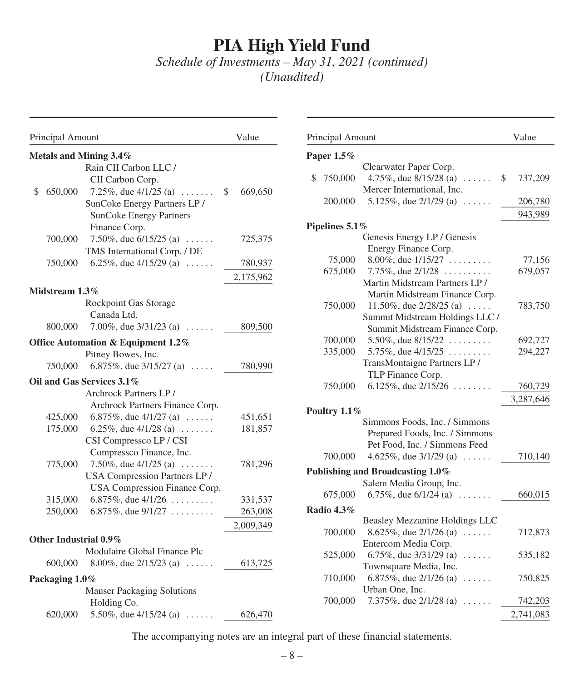*Schedule of Investments – May 31, 2021 (continued) (Unaudited)*

| Principal Amount                                   | Value         | Principal Amount                                       | Value      |
|----------------------------------------------------|---------------|--------------------------------------------------------|------------|
| Metals and Mining 3.4%                             |               | Paper $1.5\%$                                          |            |
| Rain CII Carbon LLC /                              |               | Clearwater Paper Corp.                                 |            |
| CII Carbon Corp.                                   |               | 4.75%, due $8/15/28$ (a)<br>750,000                    | 737,<br>\$ |
| 650,000<br>7.25\%, due $4/1/25$ (a)<br>\$          | 669,650<br>\$ | Mercer International, Inc.                             |            |
| SunCoke Energy Partners LP /                       |               | 5.125%, due $2/1/29$ (a) $\ldots$ .<br>200,000         | 206,       |
| <b>SunCoke Energy Partners</b>                     |               |                                                        | 943,       |
| Finance Corp.                                      |               | Pipelines 5.1%                                         |            |
| 7.50%, due $6/15/25$ (a) $\dots$ .<br>700,000      | 725,375       | Genesis Energy LP / Genesis                            |            |
| TMS International Corp. / DE                       |               | Energy Finance Corp.<br>8.00%, due $1/15/27$<br>75,000 | 77,        |
| 750,000<br>6.25%, due $4/15/29$ (a)                | 780,937       | 675,000<br>7.75%, due $2/1/28$                         | 679,       |
|                                                    | 2,175,962     | Martin Midstream Partners LP /                         |            |
| Midstream 1.3%                                     |               | Martin Midstream Finance Corp.                         |            |
| Rockpoint Gas Storage                              |               | 750,000<br>11.50%, due $2/28/25$ (a)                   | 783,       |
| Canada Ltd.                                        |               | Summit Midstream Holdings LLC /                        |            |
| 7.00%, due $3/31/23$ (a)<br>800,000                | 809,500       | Summit Midstream Finance Corp.                         |            |
| Office Automation & Equipment 1.2%                 |               | 700,000<br>5.50%, due $8/15/22$                        | 692,       |
| Pitney Bowes, Inc.                                 |               | 335,000<br>5.75%, due $4/15/25$                        | 294,       |
| 750,000<br>6.875\%, due $3/15/27$ (a)              | 780,990       | TransMontaigne Partners LP /                           |            |
| Oil and Gas Services 3.1%                          |               | TLP Finance Corp.                                      |            |
| Archrock Partners LP/                              |               | 6.125%, due $2/15/26$<br>750,000                       | 760,       |
| Archrock Partners Finance Corp.                    |               |                                                        | 3,287,     |
| 6.875%, due $4/1/27$ (a)<br>425,000                | 451,651       | Poultry 1.1%                                           |            |
| 175,000<br>6.25%, due $4/1/28$ (a)                 | 181,857       | Simmons Foods, Inc. / Simmons                          |            |
| CSI Compressco LP / CSI                            |               | Prepared Foods, Inc. / Simmons                         |            |
| Compressco Finance, Inc.                           |               | Pet Food, Inc. / Simmons Feed                          |            |
| 7.50%, due $4/1/25$ (a) $\ldots \ldots$<br>775,000 | 781,296       | 700,000<br>4.625\%, due $3/1/29$ (a)                   | 710,       |
| USA Compression Partners LP /                      |               | Publishing and Broadcasting 1.0%                       |            |
| USA Compression Finance Corp.                      |               | Salem Media Group, Inc.                                |            |
| 315,000<br>6.875\%, due $4/1/26$                   | 331,537       | 675,000<br>6.75%, due $6/1/24$ (a) $\ldots \ldots$     | 660,       |
| 250,000<br>6.875%, due $9/1/27$                    | 263,008       | Radio 4.3%                                             |            |
|                                                    | 2,009,349     | Beasley Mezzanine Holdings LLC                         |            |
| Other Industrial 0.9%                              |               | 700,000<br>8.625\%, due $2/1/26$ (a)                   | 712,       |
| Modulaire Global Finance Plc                       |               | Entercom Media Corp.                                   |            |
| 600,000<br>8.00%, due $2/15/23$ (a)                | 613,725       | 6.75%, due $3/31/29$ (a)<br>525,000                    | 535,       |
|                                                    |               | Townsquare Media, Inc.                                 |            |
| Packaging 1.0%                                     |               | 6.875%, due $2/1/26$ (a) $\ldots$<br>710,000           | 750,       |
| <b>Mauser Packaging Solutions</b>                  |               | Urban One, Inc.                                        |            |
| Holding Co.                                        |               | 700,000<br>7.375\%, due $2/1/28$ (a)                   | 742,       |
| 620,000<br>5.50%, due $4/15/24$ (a)                | 626,470       |                                                        | 2,741,     |

| Principal Amount                             | Value         |
|----------------------------------------------|---------------|
| Paper $1.5\%$                                |               |
| Clearwater Paper Corp.                       |               |
| 4.75%, due 8/15/28 (a)<br>750,000<br>\$<br>. | \$<br>737,209 |
| Mercer International, Inc.                   |               |
| 5.125%, due 2/1/29 (a)<br>200,000            | 206,780       |
|                                              | 943,989       |
| Pipelines 5.1%                               |               |
| Genesis Energy LP / Genesis                  |               |
| Energy Finance Corp.                         |               |
| 8.00%, due $1/15/27$<br>75,000               | 77,156        |
| 675,000<br>7.75%, due $2/1/28$               | 679,057       |
| Martin Midstream Partners LP /               |               |
| Martin Midstream Finance Corp.               |               |
| 750,000<br>11.50%, due $2/28/25$ (a)         | 783,750       |
| Summit Midstream Holdings LLC /              |               |
| Summit Midstream Finance Corp.               |               |
| 700,000<br>5.50%, due $8/15/22$              | 692,727       |
| 5.75%, due $4/15/25$<br>335,000              | 294,227       |
| TransMontaigne Partners LP/                  |               |
| TLP Finance Corp.                            |               |
| 6.125%, due $2/15/26$<br>750,000             | 760,729       |
|                                              | 3,287,646     |
| Poultry $1.1\%$                              |               |
| Simmons Foods, Inc. / Simmons                |               |
| Prepared Foods, Inc. / Simmons               |               |
| Pet Food, Inc. / Simmons Feed                |               |
| 4.625%, due $3/1/29$ (a)<br>700,000<br>.     | 710,140       |
| Publishing and Broadcasting 1.0%             |               |
| Salem Media Group, Inc.                      |               |
| 675,000<br>6.75%, due $6/1/24$ (a)           | 660,015       |
| <b>Radio 4.3%</b>                            |               |
| Beasley Mezzanine Holdings LLC               |               |
| 8.625%, due 2/1/26 (a)<br>700,000<br>.       | 712,873       |
| Entercom Media Corp.                         |               |
| 6.75%, due $3/31/29$ (a)<br>525,000<br>.     | 535,182       |
| Townsquare Media, Inc.                       |               |
| 6.875%, due 2/1/26 (a)<br>710,000<br>.       | 750,825       |
| Urban One, Inc.                              |               |
| 7.375%, due 2/1/28 (a)<br>700,000            | 742,203       |
|                                              | 2,741,083     |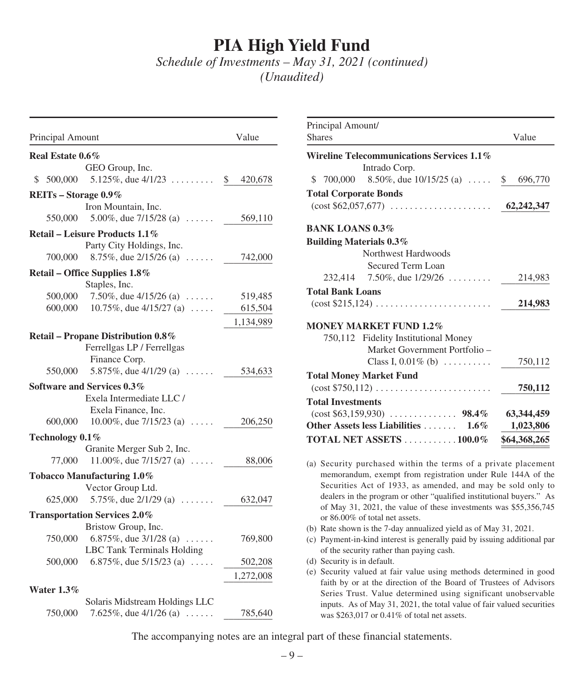*Schedule of Investments – May 31, 2021 (continued) (Unaudited)*

| Principal Amount                                    | Value         |
|-----------------------------------------------------|---------------|
| Real Estate 0.6%                                    |               |
| GEO Group, Inc.                                     |               |
| 5.125%, due $4/1/23$<br>S.<br>500,000               | \$<br>420,678 |
| REITs - Storage 0.9%                                |               |
| Iron Mountain, Inc.                                 |               |
| 550,000<br>5.00%, due $7/15/28$ (a)                 | 569,110       |
| Retail – Leisure Products 1.1%                      |               |
| Party City Holdings, Inc.                           |               |
| 700,000<br>8.75\%, due $2/15/26$ (a)                | 742,000       |
| Retail - Office Supplies 1.8%                       |               |
| Staples, Inc.                                       |               |
| 500,000<br>7.50%, due $4/15/26$ (a) $\ldots \ldots$ | 519,485       |
| 10.75%, due $4/15/27$ (a)<br>600,000                | 615,504       |
|                                                     | 1,134,989     |
| Retail - Propane Distribution 0.8%                  |               |
| Ferrellgas LP / Ferrellgas                          |               |
| Finance Corp.                                       |               |
| 5.875\%, due $4/1/29$ (a)<br>550,000                | 534,633       |
| Software and Services 0.3%                          |               |
| Exela Intermediate LLC/                             |               |
| Exela Finance, Inc.                                 |               |
| 600,000<br>10.00%, due $7/15/23$ (a)                | 206,250       |
| Technology 0.1%                                     |               |
| Granite Merger Sub 2, Inc.                          |               |
| 11.00%, due $7/15/27$ (a)<br>77,000                 | 88,006        |
| Tobacco Manufacturing 1.0%                          |               |
| Vector Group Ltd.                                   |               |
| 5.75%, due $2/1/29$ (a) $\ldots \ldots$<br>625,000  | 632,047       |
| <b>Transportation Services 2.0%</b>                 |               |
| Bristow Group, Inc.                                 |               |
| 6.875%, due $3/1/28$ (a)<br>750,000                 | 769,800       |
| LBC Tank Terminals Holding                          |               |
| 6.875%, due $5/15/23$ (a)<br>500,000                | 502,208       |
|                                                     | 1,272,008     |
| Water $1.3\%$                                       |               |
| Solaris Midstream Holdings LLC                      |               |
| 750,000<br>7.625\%, due $4/1/26$ (a)                | 785,640       |

| Principal Amount/<br><b>Shares</b>                                                                                            | Value        |
|-------------------------------------------------------------------------------------------------------------------------------|--------------|
| Wireline Telecommunications Services 1.1%                                                                                     |              |
| Intrado Corp.                                                                                                                 |              |
| 8.50\%, due $10/15/25$ (a)  \$<br>\$<br>700,000                                                                               | 696,770      |
| <b>Total Corporate Bonds</b>                                                                                                  |              |
| $(\text{cost } $62,057,677) \dots \dots \dots \dots \dots \dots$                                                              | 62,242,347   |
| <b>BANK LOANS 0.3%</b>                                                                                                        |              |
| <b>Building Materials 0.3%</b>                                                                                                |              |
| Northwest Hardwoods                                                                                                           |              |
| Secured Term Loan                                                                                                             |              |
| 7.50\%, due $1/29/26$<br>232.414                                                                                              | 214,983      |
| <b>Total Bank Loans</b>                                                                                                       |              |
| $(\text{cost } $215,124) \dots \dots \dots \dots \dots \dots \dots$                                                           | 214,983      |
| <b>MONEY MARKET FUND 1.2%</b>                                                                                                 |              |
| 750,112 Fidelity Institutional Money                                                                                          |              |
| Market Government Portfolio -                                                                                                 |              |
| Class I, $0.01\%$ (b)                                                                                                         | 750,112      |
| <b>Total Money Market Fund</b>                                                                                                |              |
| $(\text{cost } $750,112) \ldots \ldots \ldots \ldots \ldots \ldots$                                                           | 750,112      |
| <b>Total Investments</b>                                                                                                      |              |
|                                                                                                                               | 63,344,459   |
| Other Assets less Liabilities  1.6%                                                                                           | 1,023,806    |
| TOTAL NET ASSETS 100.0%                                                                                                       | \$64,368,265 |
|                                                                                                                               |              |
| (a) Security purchased within the terms of a private placement<br>memorandum, exempt from registration under Rule 144A of the |              |
| Securities Act of 1933, as amended, and may be sold only to                                                                   |              |
| dealers in the program or other "qualified institutional buyers." As                                                          |              |
| of May 31, 2021, the value of these investments was \$55,356,745                                                              |              |
| or 86.00% of total net assets.                                                                                                |              |
| (b) Rate shown is the 7-day annualized yield as of May 31, 2021.                                                              |              |
| (c) Payment-in-kind interest is generally paid by issuing additional par                                                      |              |
| of the security rather than paying cash.                                                                                      |              |

- (d) Security is in default.
- (e) Security valued at fair value using methods determined in good faith by or at the direction of the Board of Trustees of Advisors Series Trust. Value determined using significant unobservable inputs. As of May 31, 2021, the total value of fair valued securities was \$263,017 or 0.41% of total net assets.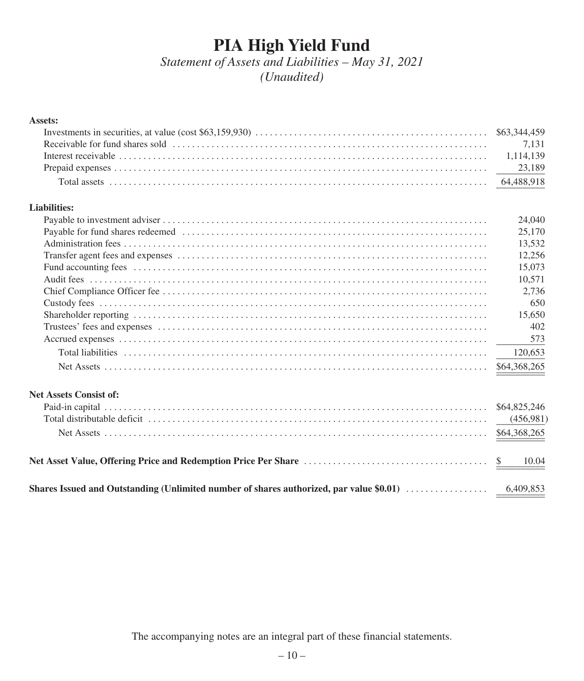*Statement of Assets and Liabilities – May 31, 2021 (Unaudited)*

### **Assets:**

### **Liabilities:**

|                                                                                                                                                                                                                                | 24,040       |
|--------------------------------------------------------------------------------------------------------------------------------------------------------------------------------------------------------------------------------|--------------|
|                                                                                                                                                                                                                                | 25,170       |
|                                                                                                                                                                                                                                | 13.532       |
|                                                                                                                                                                                                                                | 12.256       |
| Fund accounting fees in the contract of the contract of the contract of the contract of the contract of the contract of the contract of the contract of the contract of the contract of the contract of the contract of the co | 15,073       |
|                                                                                                                                                                                                                                | 10.571       |
|                                                                                                                                                                                                                                | 2.736        |
|                                                                                                                                                                                                                                | 650          |
|                                                                                                                                                                                                                                | 15.650       |
|                                                                                                                                                                                                                                | 402          |
|                                                                                                                                                                                                                                | 573          |
|                                                                                                                                                                                                                                | 120.653      |
|                                                                                                                                                                                                                                | \$64,368,265 |
|                                                                                                                                                                                                                                |              |

### **Net Assets Consist of:**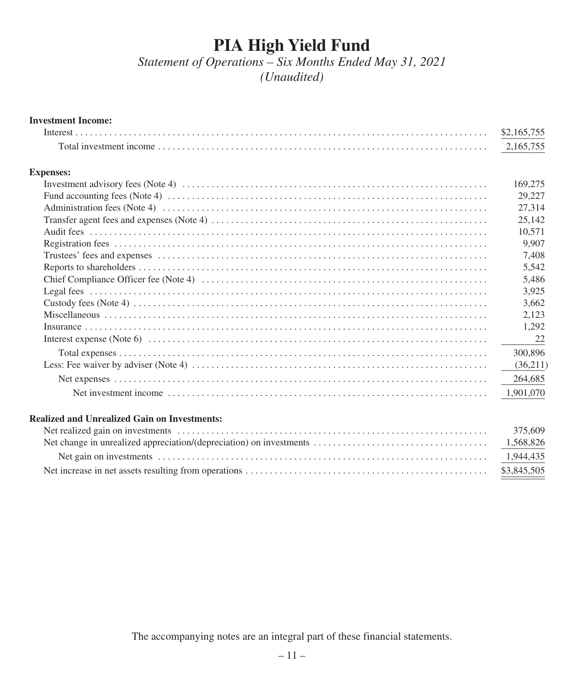*Statement of Operations – Six Months Ended May 31, 2021 (Unaudited)*

#### **Investment Income:**

| Interest.        | \$2,165,755 |
|------------------|-------------|
|                  | 2,165,755   |
| <b>Expenses:</b> |             |
|                  | 169,275     |
|                  | 29,227      |
|                  | 27,314      |
|                  | 25,142      |
|                  | 10,571      |
|                  | 9,907       |
|                  | 7,408       |
|                  | 5,542       |
|                  | 5,486       |
|                  | 3,925       |
|                  | 3,662       |
|                  | 2,123       |
|                  | 1,292       |
|                  | 22          |
|                  | 300,896     |
|                  | (36,211)    |
|                  | 264,685     |
|                  | 1,901,070   |

### **Realized and Unrealized Gain on Investments:**

| 375,609     |
|-------------|
|             |
|             |
| \$3,845,505 |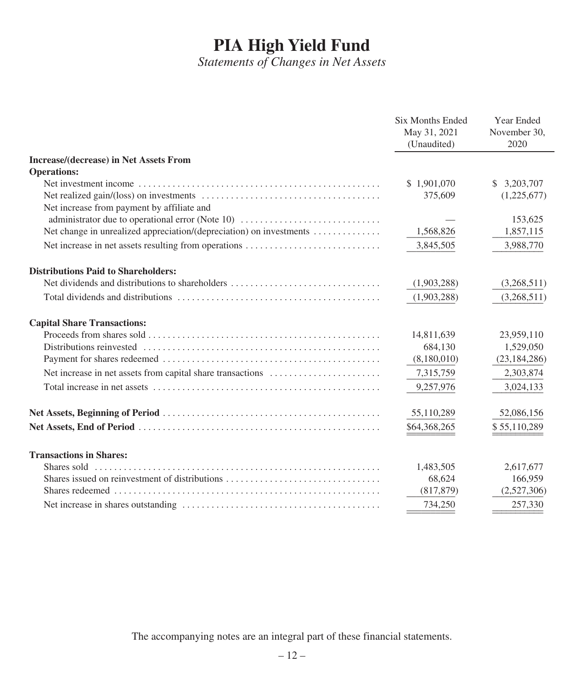*Statements of Changes in Net Assets*

|                                                                     | <b>Six Months Ended</b><br>May 31, 2021<br>(Unaudited) | Year Ended<br>November 30,<br>2020 |
|---------------------------------------------------------------------|--------------------------------------------------------|------------------------------------|
| <b>Increase/(decrease) in Net Assets From</b>                       |                                                        |                                    |
| <b>Operations:</b>                                                  |                                                        |                                    |
|                                                                     | \$1,901,070                                            | 3,203,707<br>S.                    |
| Net increase from payment by affiliate and                          | 375,609                                                | (1,225,677)                        |
| administrator due to operational error (Note 10)                    |                                                        | 153,625                            |
| Net change in unrealized appreciation/(depreciation) on investments | 1,568,826                                              | 1,857,115                          |
| Net increase in net assets resulting from operations                | 3,845,505                                              | 3,988,770                          |
| <b>Distributions Paid to Shareholders:</b>                          |                                                        |                                    |
| Net dividends and distributions to shareholders                     | (1,903,288)                                            | (3,268,511)                        |
|                                                                     | (1,903,288)                                            | (3,268,511)                        |
| <b>Capital Share Transactions:</b>                                  |                                                        |                                    |
|                                                                     | 14,811,639                                             | 23,959,110                         |
|                                                                     | 684,130                                                | 1,529,050                          |
|                                                                     | (8,180,010)                                            | (23, 184, 286)                     |
| Net increase in net assets from capital share transactions          | 7,315,759                                              | 2,303,874                          |
|                                                                     | 9,257,976                                              | 3,024,133                          |
|                                                                     | 55,110,289                                             | 52,086,156                         |
|                                                                     | \$64,368,265                                           | \$55,110,289                       |
| <b>Transactions in Shares:</b>                                      |                                                        |                                    |
|                                                                     | 1,483,505                                              | 2,617,677                          |
| Shares issued on reinvestment of distributions                      | 68,624                                                 | 166,959                            |
|                                                                     | (817, 879)                                             | (2,527,306)                        |
|                                                                     | 734,250                                                | 257,330                            |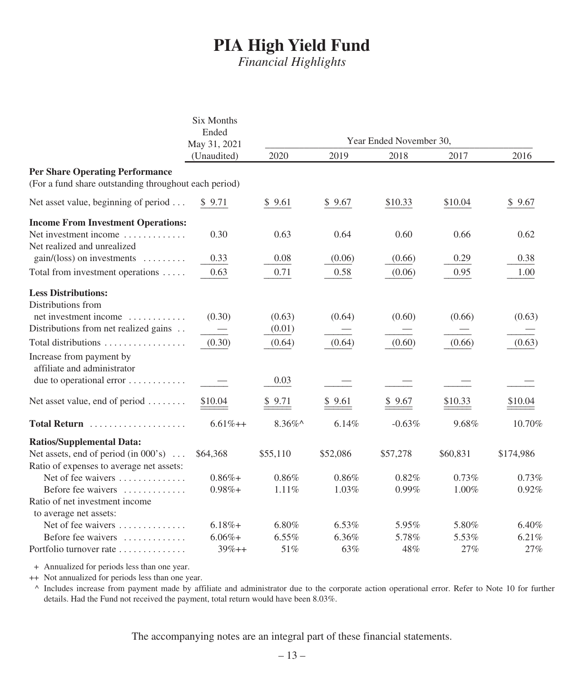*Financial Highlights*

|                                                                                                 | <b>Six Months</b><br>Ended |            |          |                         |          |           |
|-------------------------------------------------------------------------------------------------|----------------------------|------------|----------|-------------------------|----------|-----------|
|                                                                                                 | May 31, 2021               |            |          | Year Ended November 30, |          |           |
|                                                                                                 | (Unaudited)                | 2020       | 2019     | 2018                    | 2017     | 2016      |
| <b>Per Share Operating Performance</b><br>(For a fund share outstanding throughout each period) |                            |            |          |                         |          |           |
| Net asset value, beginning of period                                                            | \$9.71                     | \$9.61     | \$9.67   | \$10.33                 | \$10.04  | \$9.67    |
| <b>Income From Investment Operations:</b>                                                       |                            |            |          |                         |          |           |
| Net investment income<br>Net realized and unrealized                                            | 0.30                       | 0.63       | 0.64     | 0.60                    | 0.66     | 0.62      |
| $gain/(loss)$ on investments                                                                    | 0.33                       | 0.08       | (0.06)   | (0.66)                  | 0.29     | 0.38      |
| Total from investment operations                                                                | 0.63                       | 0.71       | 0.58     | (0.06)                  | 0.95     | 1.00      |
| <b>Less Distributions:</b>                                                                      |                            |            |          |                         |          |           |
| Distributions from                                                                              |                            |            |          |                         |          |           |
| net investment income                                                                           | (0.30)                     | (0.63)     | (0.64)   | (0.60)                  | (0.66)   | (0.63)    |
| Distributions from net realized gains                                                           |                            | (0.01)     |          |                         |          |           |
| Total distributions                                                                             | (0.30)                     | (0.64)     | (0.64)   | (0.60)                  | (0.66)   | (0.63)    |
| Increase from payment by<br>affiliate and administrator                                         |                            |            |          |                         |          |           |
| due to operational error                                                                        |                            | 0.03       |          |                         |          |           |
| Net asset value, end of period                                                                  | \$10.04                    | \$9.71     | \$9.61   | \$9.67                  | \$10.33  | \$10.04   |
| Total Return                                                                                    | $6.61%++$                  | $8.36\%$ ^ | 6.14%    | $-0.63%$                | 9.68%    | 10.70%    |
| <b>Ratios/Supplemental Data:</b>                                                                |                            |            |          |                         |          |           |
| Net assets, end of period (in $000$ 's)                                                         | \$64,368                   | \$55,110   | \$52,086 | \$57,278                | \$60,831 | \$174,986 |
| Ratio of expenses to average net assets:                                                        |                            |            |          |                         |          |           |
| Net of fee waivers                                                                              | $0.86% +$                  | 0.86%      | 0.86%    | 0.82%                   | 0.73%    | 0.73%     |
| Before fee waivers                                                                              | $0.98\% +$                 | 1.11%      | 1.03%    | 0.99%                   | 1.00%    | 0.92%     |
| Ratio of net investment income<br>to average net assets:                                        |                            |            |          |                         |          |           |
| Net of fee waivers                                                                              | $6.18%+$                   | 6.80%      | 6.53%    | 5.95%                   | 5.80%    | 6.40%     |
| Before fee waivers                                                                              | $6.06%+$                   | 6.55%      | 6.36%    | 5.78%                   | 5.53%    | 6.21%     |
| Portfolio turnover rate                                                                         | $39%++$                    | 51%        | 63%      | 48%                     | 27%      | 27%       |

+ Annualized for periods less than one year.

++ Not annualized for periods less than one year.

^ Includes increase from payment made by affiliate and administrator due to the corporate action operational error. Refer to Note 10 for further details. Had the Fund not received the payment, total return would have been 8.03%.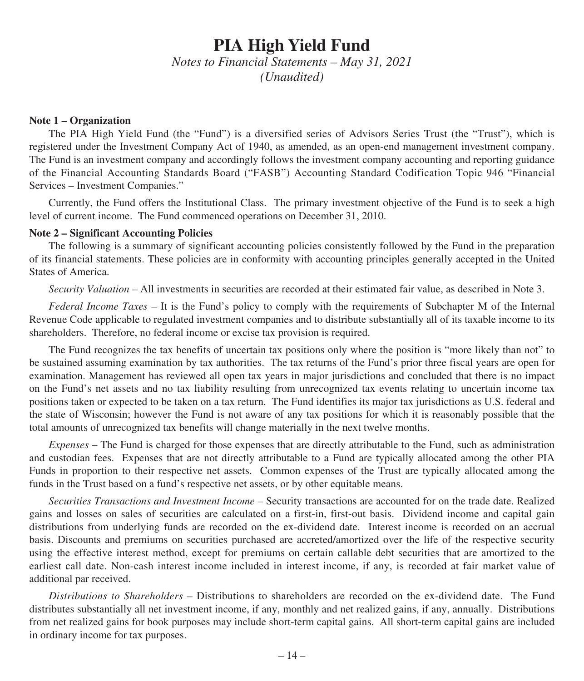*Notes to Financial Statements – May 31, 2021 (Unaudited)*

#### **Note 1 – Organization**

The PIA High Yield Fund (the "Fund") is a diversified series of Advisors Series Trust (the "Trust"), which is registered under the Investment Company Act of 1940, as amended, as an open-end management investment company. The Fund is an investment company and accordingly follows the investment company accounting and reporting guidance of the Financial Accounting Standards Board ("FASB") Accounting Standard Codification Topic 946 "Financial Services – Investment Companies."

Currently, the Fund offers the Institutional Class. The primary investment objective of the Fund is to seek a high level of current income. The Fund commenced operations on December 31, 2010.

#### **Note 2 – Significant Accounting Policies**

The following is a summary of significant accounting policies consistently followed by the Fund in the preparation of its financial statements. These policies are in conformity with accounting principles generally accepted in the United States of America.

*Security Valuation* – All investments in securities are recorded at their estimated fair value, as described in Note 3.

*Federal Income Taxes* – It is the Fund's policy to comply with the requirements of Subchapter M of the Internal Revenue Code applicable to regulated investment companies and to distribute substantially all of its taxable income to its shareholders. Therefore, no federal income or excise tax provision is required.

The Fund recognizes the tax benefits of uncertain tax positions only where the position is "more likely than not" to be sustained assuming examination by tax authorities. The tax returns of the Fund's prior three fiscal years are open for examination. Management has reviewed all open tax years in major jurisdictions and concluded that there is no impact on the Fund's net assets and no tax liability resulting from unrecognized tax events relating to uncertain income tax positions taken or expected to be taken on a tax return. The Fund identifies its major tax jurisdictions as U.S. federal and the state of Wisconsin; however the Fund is not aware of any tax positions for which it is reasonably possible that the total amounts of unrecognized tax benefits will change materially in the next twelve months.

*Expenses* – The Fund is charged for those expenses that are directly attributable to the Fund, such as administration and custodian fees. Expenses that are not directly attributable to a Fund are typically allocated among the other PIA Funds in proportion to their respective net assets. Common expenses of the Trust are typically allocated among the funds in the Trust based on a fund's respective net assets, or by other equitable means.

*Securities Transactions and Investment Income* – Security transactions are accounted for on the trade date. Realized gains and losses on sales of securities are calculated on a first-in, first-out basis. Dividend income and capital gain distributions from underlying funds are recorded on the ex-dividend date. Interest income is recorded on an accrual basis. Discounts and premiums on securities purchased are accreted/amortized over the life of the respective security using the effective interest method, except for premiums on certain callable debt securities that are amortized to the earliest call date. Non-cash interest income included in interest income, if any, is recorded at fair market value of additional par received.

*Distributions to Shareholders* – Distributions to shareholders are recorded on the ex-dividend date. The Fund distributes substantially all net investment income, if any, monthly and net realized gains, if any, annually. Distributions from net realized gains for book purposes may include short-term capital gains. All short-term capital gains are included in ordinary income for tax purposes.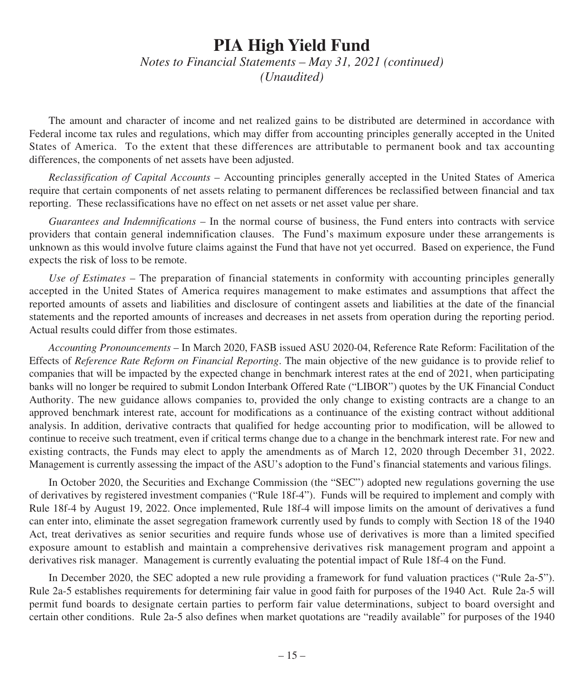*Notes to Financial Statements – May 31, 2021 (continued) (Unaudited)*

The amount and character of income and net realized gains to be distributed are determined in accordance with Federal income tax rules and regulations, which may differ from accounting principles generally accepted in the United States of America. To the extent that these differences are attributable to permanent book and tax accounting differences, the components of net assets have been adjusted.

*Reclassification of Capital Accounts* – Accounting principles generally accepted in the United States of America require that certain components of net assets relating to permanent differences be reclassified between financial and tax reporting. These reclassifications have no effect on net assets or net asset value per share.

*Guarantees and Indemnifications* – In the normal course of business, the Fund enters into contracts with service providers that contain general indemnification clauses. The Fund's maximum exposure under these arrangements is unknown as this would involve future claims against the Fund that have not yet occurred. Based on experience, the Fund expects the risk of loss to be remote.

*Use of Estimates* – The preparation of financial statements in conformity with accounting principles generally accepted in the United States of America requires management to make estimates and assumptions that affect the reported amounts of assets and liabilities and disclosure of contingent assets and liabilities at the date of the financial statements and the reported amounts of increases and decreases in net assets from operation during the reporting period. Actual results could differ from those estimates.

*Accounting Pronouncements* – In March 2020, FASB issued ASU 2020-04, Reference Rate Reform: Facilitation of the Effects of *Reference Rate Reform on Financial Reporting*. The main objective of the new guidance is to provide relief to companies that will be impacted by the expected change in benchmark interest rates at the end of 2021, when participating banks will no longer be required to submit London Interbank Offered Rate ("LIBOR") quotes by the UK Financial Conduct Authority. The new guidance allows companies to, provided the only change to existing contracts are a change to an approved benchmark interest rate, account for modifications as a continuance of the existing contract without additional analysis. In addition, derivative contracts that qualified for hedge accounting prior to modification, will be allowed to continue to receive such treatment, even if critical terms change due to a change in the benchmark interest rate. For new and existing contracts, the Funds may elect to apply the amendments as of March 12, 2020 through December 31, 2022. Management is currently assessing the impact of the ASU's adoption to the Fund's financial statements and various filings.

In October 2020, the Securities and Exchange Commission (the "SEC") adopted new regulations governing the use of derivatives by registered investment companies ("Rule 18f-4"). Funds will be required to implement and comply with Rule 18f-4 by August 19, 2022. Once implemented, Rule 18f-4 will impose limits on the amount of derivatives a fund can enter into, eliminate the asset segregation framework currently used by funds to comply with Section 18 of the 1940 Act, treat derivatives as senior securities and require funds whose use of derivatives is more than a limited specified exposure amount to establish and maintain a comprehensive derivatives risk management program and appoint a derivatives risk manager. Management is currently evaluating the potential impact of Rule 18f-4 on the Fund.

In December 2020, the SEC adopted a new rule providing a framework for fund valuation practices ("Rule 2a-5"). Rule 2a-5 establishes requirements for determining fair value in good faith for purposes of the 1940 Act. Rule 2a-5 will permit fund boards to designate certain parties to perform fair value determinations, subject to board oversight and certain other conditions. Rule 2a-5 also defines when market quotations are "readily available" for purposes of the 1940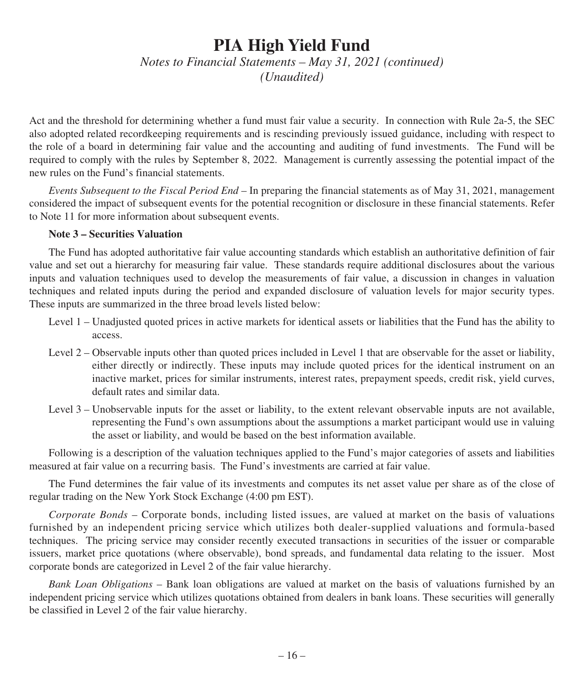*Notes to Financial Statements – May 31, 2021 (continued) (Unaudited)*

Act and the threshold for determining whether a fund must fair value a security. In connection with Rule 2a-5, the SEC also adopted related recordkeeping requirements and is rescinding previously issued guidance, including with respect to the role of a board in determining fair value and the accounting and auditing of fund investments. The Fund will be required to comply with the rules by September 8, 2022. Management is currently assessing the potential impact of the new rules on the Fund's financial statements.

*Events Subsequent to the Fiscal Period End* – In preparing the financial statements as of May 31, 2021, management considered the impact of subsequent events for the potential recognition or disclosure in these financial statements. Refer to Note 11 for more information about subsequent events.

### **Note 3 – Securities Valuation**

The Fund has adopted authoritative fair value accounting standards which establish an authoritative definition of fair value and set out a hierarchy for measuring fair value. These standards require additional disclosures about the various inputs and valuation techniques used to develop the measurements of fair value, a discussion in changes in valuation techniques and related inputs during the period and expanded disclosure of valuation levels for major security types. These inputs are summarized in the three broad levels listed below:

- Level 1 Unadjusted quoted prices in active markets for identical assets or liabilities that the Fund has the ability to access.
- Level 2 Observable inputs other than quoted prices included in Level 1 that are observable for the asset or liability, either directly or indirectly. These inputs may include quoted prices for the identical instrument on an inactive market, prices for similar instruments, interest rates, prepayment speeds, credit risk, yield curves, default rates and similar data.
- Level 3 Unobservable inputs for the asset or liability, to the extent relevant observable inputs are not available, representing the Fund's own assumptions about the assumptions a market participant would use in valuing the asset or liability, and would be based on the best information available.

Following is a description of the valuation techniques applied to the Fund's major categories of assets and liabilities measured at fair value on a recurring basis. The Fund's investments are carried at fair value.

The Fund determines the fair value of its investments and computes its net asset value per share as of the close of regular trading on the New York Stock Exchange (4:00 pm EST).

*Corporate Bonds* – Corporate bonds, including listed issues, are valued at market on the basis of valuations furnished by an independent pricing service which utilizes both dealer-supplied valuations and formula-based techniques. The pricing service may consider recently executed transactions in securities of the issuer or comparable issuers, market price quotations (where observable), bond spreads, and fundamental data relating to the issuer. Most corporate bonds are categorized in Level 2 of the fair value hierarchy.

*Bank Loan Obligations* – Bank loan obligations are valued at market on the basis of valuations furnished by an independent pricing service which utilizes quotations obtained from dealers in bank loans. These securities will generally be classified in Level 2 of the fair value hierarchy.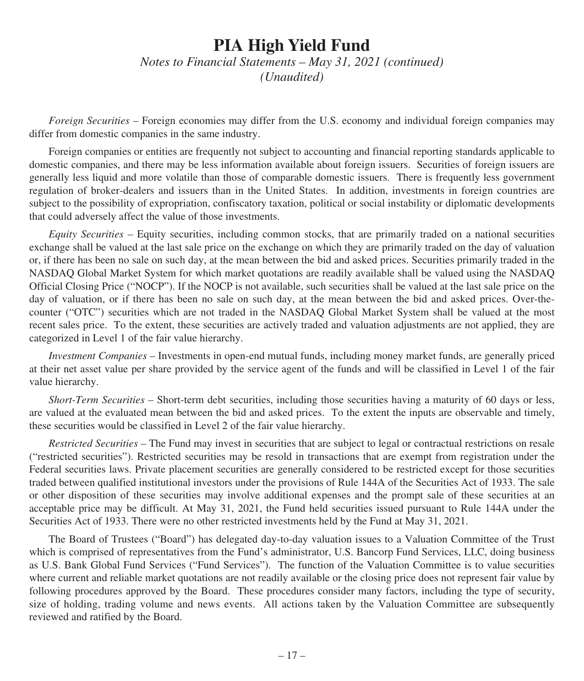*Notes to Financial Statements – May 31, 2021 (continued) (Unaudited)*

*Foreign Securities* – Foreign economies may differ from the U.S. economy and individual foreign companies may differ from domestic companies in the same industry.

Foreign companies or entities are frequently not subject to accounting and financial reporting standards applicable to domestic companies, and there may be less information available about foreign issuers. Securities of foreign issuers are generally less liquid and more volatile than those of comparable domestic issuers. There is frequently less government regulation of broker-dealers and issuers than in the United States. In addition, investments in foreign countries are subject to the possibility of expropriation, confiscatory taxation, political or social instability or diplomatic developments that could adversely affect the value of those investments.

*Equity Securities* – Equity securities, including common stocks, that are primarily traded on a national securities exchange shall be valued at the last sale price on the exchange on which they are primarily traded on the day of valuation or, if there has been no sale on such day, at the mean between the bid and asked prices. Securities primarily traded in the NASDAQ Global Market System for which market quotations are readily available shall be valued using the NASDAQ Official Closing Price ("NOCP"). If the NOCP is not available, such securities shall be valued at the last sale price on the day of valuation, or if there has been no sale on such day, at the mean between the bid and asked prices. Over-thecounter ("OTC") securities which are not traded in the NASDAQ Global Market System shall be valued at the most recent sales price. To the extent, these securities are actively traded and valuation adjustments are not applied, they are categorized in Level 1 of the fair value hierarchy.

*Investment Companies* – Investments in open-end mutual funds, including money market funds, are generally priced at their net asset value per share provided by the service agent of the funds and will be classified in Level 1 of the fair value hierarchy.

*Short-Term Securities* – Short-term debt securities, including those securities having a maturity of 60 days or less, are valued at the evaluated mean between the bid and asked prices. To the extent the inputs are observable and timely, these securities would be classified in Level 2 of the fair value hierarchy.

*Restricted Securities* – The Fund may invest in securities that are subject to legal or contractual restrictions on resale ("restricted securities"). Restricted securities may be resold in transactions that are exempt from registration under the Federal securities laws. Private placement securities are generally considered to be restricted except for those securities traded between qualified institutional investors under the provisions of Rule 144A of the Securities Act of 1933. The sale or other disposition of these securities may involve additional expenses and the prompt sale of these securities at an acceptable price may be difficult. At May 31, 2021, the Fund held securities issued pursuant to Rule 144A under the Securities Act of 1933. There were no other restricted investments held by the Fund at May 31, 2021.

The Board of Trustees ("Board") has delegated day-to-day valuation issues to a Valuation Committee of the Trust which is comprised of representatives from the Fund's administrator, U.S. Bancorp Fund Services, LLC, doing business as U.S. Bank Global Fund Services ("Fund Services"). The function of the Valuation Committee is to value securities where current and reliable market quotations are not readily available or the closing price does not represent fair value by following procedures approved by the Board. These procedures consider many factors, including the type of security, size of holding, trading volume and news events. All actions taken by the Valuation Committee are subsequently reviewed and ratified by the Board.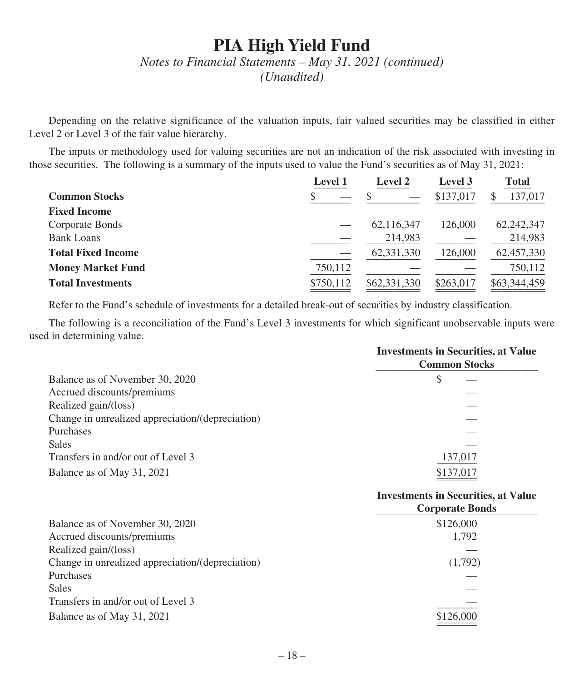## *Notes to Financial Statements – May 31, 2021 (continued)*

*(Unaudited)*

Depending on the relative significance of the valuation inputs, fair valued securities may be classified in either Level 2 or Level 3 of the fair value hierarchy.

The inputs or methodology used for valuing securities are not an indication of the risk associated with investing in those securities. The following is a summary of the inputs used to value the Fund's securities as of May 31, 2021:

|                           | <b>Level 1</b> | <b>Level 2</b> | Level 3   | <b>Total</b> |
|---------------------------|----------------|----------------|-----------|--------------|
| <b>Common Stocks</b>      |                |                | \$137,017 | 137,017      |
| <b>Fixed Income</b>       |                |                |           |              |
| Corporate Bonds           |                | 62,116,347     | 126,000   | 62,242,347   |
| <b>Bank Loans</b>         |                | 214,983        |           | 214,983      |
| <b>Total Fixed Income</b> |                | 62,331,330     | 126,000   | 62,457,330   |
| <b>Money Market Fund</b>  | 750,112        |                |           | 750,112      |
| <b>Total Investments</b>  | \$750,112      | \$62,331,330   | \$263,017 | \$63,344,459 |
|                           |                |                |           |              |

Refer to the Fund's schedule of investments for a detailed break-out of securities by industry classification.

The following is a reconciliation of the Fund's Level 3 investments for which significant unobservable inputs were used in determining value.

|                                                  | <b>Investments in Securities, at Value</b><br><b>Common Stocks</b> |
|--------------------------------------------------|--------------------------------------------------------------------|
| Balance as of November 30, 2020                  | S                                                                  |
| Accrued discounts/premiums                       |                                                                    |
| Realized gain/(loss)                             |                                                                    |
| Change in unrealized appreciation/(depreciation) |                                                                    |
| Purchases                                        |                                                                    |
| Sales                                            |                                                                    |
| Transfers in and/or out of Level 3               | 137,017                                                            |
| Balance as of May 31, 2021                       | \$137,017                                                          |
|                                                  |                                                                    |

## **Investments in Securities, at Value**

|                                                  | <b>Corporate Bonds</b> |
|--------------------------------------------------|------------------------|
| Balance as of November 30, 2020                  | \$126,000              |
| Accrued discounts/premiums                       | 1.792                  |
| Realized gain/(loss)                             |                        |
| Change in unrealized appreciation/(depreciation) | (1,792)                |
| Purchases                                        |                        |
| <b>Sales</b>                                     |                        |
| Transfers in and/or out of Level 3               |                        |
| Balance as of May 31, 2021                       | \$126,000              |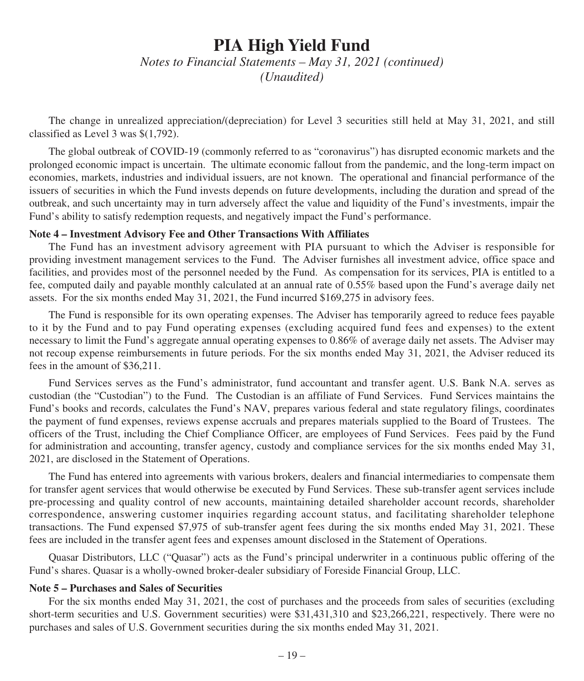*Notes to Financial Statements – May 31, 2021 (continued) (Unaudited)*

The change in unrealized appreciation/(depreciation) for Level 3 securities still held at May 31, 2021, and still classified as Level 3 was \$(1,792).

The global outbreak of COVID-19 (commonly referred to as "coronavirus") has disrupted economic markets and the prolonged economic impact is uncertain. The ultimate economic fallout from the pandemic, and the long-term impact on economies, markets, industries and individual issuers, are not known. The operational and financial performance of the issuers of securities in which the Fund invests depends on future developments, including the duration and spread of the outbreak, and such uncertainty may in turn adversely affect the value and liquidity of the Fund's investments, impair the Fund's ability to satisfy redemption requests, and negatively impact the Fund's performance.

### **Note 4 – Investment Advisory Fee and Other Transactions With Affiliates**

The Fund has an investment advisory agreement with PIA pursuant to which the Adviser is responsible for providing investment management services to the Fund. The Adviser furnishes all investment advice, office space and facilities, and provides most of the personnel needed by the Fund. As compensation for its services, PIA is entitled to a fee, computed daily and payable monthly calculated at an annual rate of 0.55% based upon the Fund's average daily net assets. For the six months ended May 31, 2021, the Fund incurred \$169,275 in advisory fees.

The Fund is responsible for its own operating expenses. The Adviser has temporarily agreed to reduce fees payable to it by the Fund and to pay Fund operating expenses (excluding acquired fund fees and expenses) to the extent necessary to limit the Fund's aggregate annual operating expenses to 0.86% of average daily net assets. The Adviser may not recoup expense reimbursements in future periods. For the six months ended May 31, 2021, the Adviser reduced its fees in the amount of \$36,211.

Fund Services serves as the Fund's administrator, fund accountant and transfer agent. U.S. Bank N.A. serves as custodian (the "Custodian") to the Fund. The Custodian is an affiliate of Fund Services. Fund Services maintains the Fund's books and records, calculates the Fund's NAV, prepares various federal and state regulatory filings, coordinates the payment of fund expenses, reviews expense accruals and prepares materials supplied to the Board of Trustees. The officers of the Trust, including the Chief Compliance Officer, are employees of Fund Services. Fees paid by the Fund for administration and accounting, transfer agency, custody and compliance services for the six months ended May 31, 2021, are disclosed in the Statement of Operations.

The Fund has entered into agreements with various brokers, dealers and financial intermediaries to compensate them for transfer agent services that would otherwise be executed by Fund Services. These sub-transfer agent services include pre-processing and quality control of new accounts, maintaining detailed shareholder account records, shareholder correspondence, answering customer inquiries regarding account status, and facilitating shareholder telephone transactions. The Fund expensed \$7,975 of sub-transfer agent fees during the six months ended May 31, 2021. These fees are included in the transfer agent fees and expenses amount disclosed in the Statement of Operations.

Quasar Distributors, LLC ("Quasar") acts as the Fund's principal underwriter in a continuous public offering of the Fund's shares. Quasar is a wholly-owned broker-dealer subsidiary of Foreside Financial Group, LLC.

#### **Note 5 – Purchases and Sales of Securities**

For the six months ended May 31, 2021, the cost of purchases and the proceeds from sales of securities (excluding short-term securities and U.S. Government securities) were \$31,431,310 and \$23,266,221, respectively. There were no purchases and sales of U.S. Government securities during the six months ended May 31, 2021.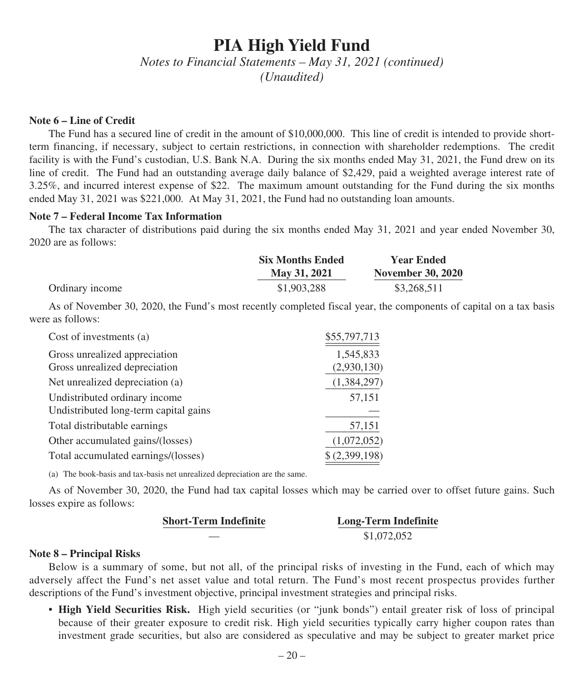*Notes to Financial Statements – May 31, 2021 (continued) (Unaudited)*

#### **Note 6 – Line of Credit**

The Fund has a secured line of credit in the amount of \$10,000,000. This line of credit is intended to provide shortterm financing, if necessary, subject to certain restrictions, in connection with shareholder redemptions. The credit facility is with the Fund's custodian, U.S. Bank N.A. During the six months ended May 31, 2021, the Fund drew on its line of credit. The Fund had an outstanding average daily balance of \$2,429, paid a weighted average interest rate of 3.25%, and incurred interest expense of \$22. The maximum amount outstanding for the Fund during the six months ended May 31, 2021 was \$221,000. At May 31, 2021, the Fund had no outstanding loan amounts.

#### **Note 7 – Federal Income Tax Information**

The tax character of distributions paid during the six months ended May 31, 2021 and year ended November 30, 2020 are as follows:

|                 | <b>Six Months Ended</b> | <b>Year Ended</b>        |
|-----------------|-------------------------|--------------------------|
|                 | May 31, 2021            | <b>November 30, 2020</b> |
| Ordinary income | \$1,903,288             | \$3,268,511              |

As of November 30, 2020, the Fund's most recently completed fiscal year, the components of capital on a tax basis were as follows:

| Cost of investments (a)               | \$55,797,713  |
|---------------------------------------|---------------|
| Gross unrealized appreciation         | 1,545,833     |
| Gross unrealized depreciation         | (2,930,130)   |
| Net unrealized depreciation (a)       | (1,384,297)   |
| Undistributed ordinary income         | 57,151        |
| Undistributed long-term capital gains |               |
| Total distributable earnings          | 57,151        |
| Other accumulated gains/(losses)      | (1,072,052)   |
| Total accumulated earnings/(losses)   | \$(2,399,198) |
|                                       |               |

(a) The book-basis and tax-basis net unrealized depreciation are the same.

As of November 30, 2020, the Fund had tax capital losses which may be carried over to offset future gains. Such losses expire as follows:

| <b>Short-Term Indefinite</b> | <b>Long-Term Indefinite</b> |
|------------------------------|-----------------------------|
|                              | \$1,072,052                 |

#### **Note 8 – Principal Risks**

Below is a summary of some, but not all, of the principal risks of investing in the Fund, each of which may adversely affect the Fund's net asset value and total return. The Fund's most recent prospectus provides further descriptions of the Fund's investment objective, principal investment strategies and principal risks.

• **High Yield Securities Risk.** High yield securities (or "junk bonds") entail greater risk of loss of principal because of their greater exposure to credit risk. High yield securities typically carry higher coupon rates than investment grade securities, but also are considered as speculative and may be subject to greater market price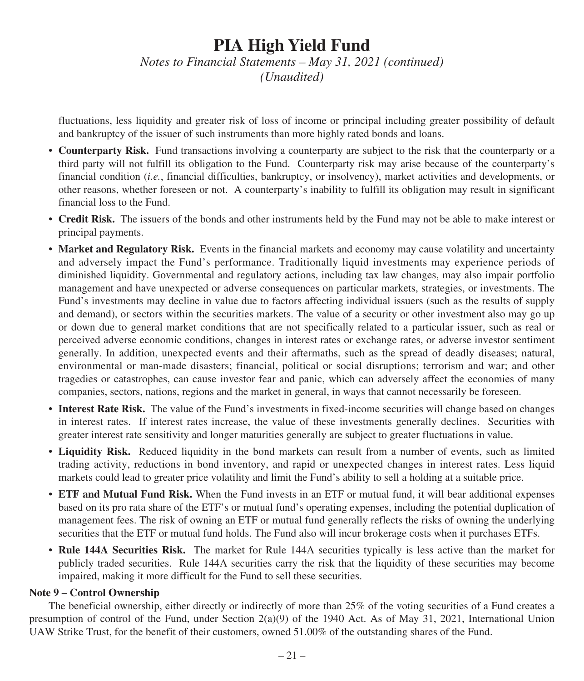*Notes to Financial Statements – May 31, 2021 (continued) (Unaudited)*

fluctuations, less liquidity and greater risk of loss of income or principal including greater possibility of default and bankruptcy of the issuer of such instruments than more highly rated bonds and loans.

- **Counterparty Risk.** Fund transactions involving a counterparty are subject to the risk that the counterparty or a third party will not fulfill its obligation to the Fund. Counterparty risk may arise because of the counterparty's financial condition (*i.e.*, financial difficulties, bankruptcy, or insolvency), market activities and developments, or other reasons, whether foreseen or not. A counterparty's inability to fulfill its obligation may result in significant financial loss to the Fund.
- **Credit Risk.** The issuers of the bonds and other instruments held by the Fund may not be able to make interest or principal payments.
- **Market and Regulatory Risk.** Events in the financial markets and economy may cause volatility and uncertainty and adversely impact the Fund's performance. Traditionally liquid investments may experience periods of diminished liquidity. Governmental and regulatory actions, including tax law changes, may also impair portfolio management and have unexpected or adverse consequences on particular markets, strategies, or investments. The Fund's investments may decline in value due to factors affecting individual issuers (such as the results of supply and demand), or sectors within the securities markets. The value of a security or other investment also may go up or down due to general market conditions that are not specifically related to a particular issuer, such as real or perceived adverse economic conditions, changes in interest rates or exchange rates, or adverse investor sentiment generally. In addition, unexpected events and their aftermaths, such as the spread of deadly diseases; natural, environmental or man-made disasters; financial, political or social disruptions; terrorism and war; and other tragedies or catastrophes, can cause investor fear and panic, which can adversely affect the economies of many companies, sectors, nations, regions and the market in general, in ways that cannot necessarily be foreseen.
- **Interest Rate Risk.** The value of the Fund's investments in fixed-income securities will change based on changes in interest rates. If interest rates increase, the value of these investments generally declines. Securities with greater interest rate sensitivity and longer maturities generally are subject to greater fluctuations in value.
- **Liquidity Risk.** Reduced liquidity in the bond markets can result from a number of events, such as limited trading activity, reductions in bond inventory, and rapid or unexpected changes in interest rates. Less liquid markets could lead to greater price volatility and limit the Fund's ability to sell a holding at a suitable price.
- **ETF and Mutual Fund Risk.** When the Fund invests in an ETF or mutual fund, it will bear additional expenses based on its pro rata share of the ETF's or mutual fund's operating expenses, including the potential duplication of management fees. The risk of owning an ETF or mutual fund generally reflects the risks of owning the underlying securities that the ETF or mutual fund holds. The Fund also will incur brokerage costs when it purchases ETFs.
- **Rule 144A Securities Risk.** The market for Rule 144A securities typically is less active than the market for publicly traded securities. Rule 144A securities carry the risk that the liquidity of these securities may become impaired, making it more difficult for the Fund to sell these securities.

### **Note 9 – Control Ownership**

The beneficial ownership, either directly or indirectly of more than 25% of the voting securities of a Fund creates a presumption of control of the Fund, under Section 2(a)(9) of the 1940 Act. As of May 31, 2021, International Union UAW Strike Trust, for the benefit of their customers, owned 51.00% of the outstanding shares of the Fund.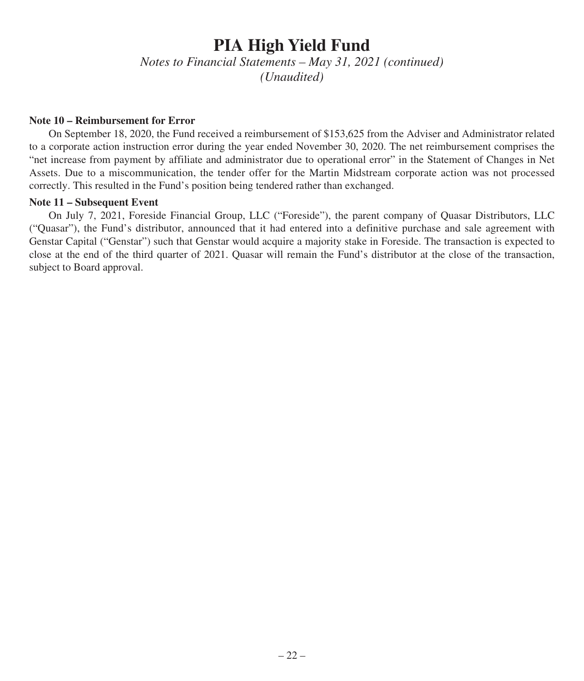*Notes to Financial Statements – May 31, 2021 (continued) (Unaudited)*

#### **Note 10 – Reimbursement for Error**

On September 18, 2020, the Fund received a reimbursement of \$153,625 from the Adviser and Administrator related to a corporate action instruction error during the year ended November 30, 2020. The net reimbursement comprises the "net increase from payment by affiliate and administrator due to operational error" in the Statement of Changes in Net Assets. Due to a miscommunication, the tender offer for the Martin Midstream corporate action was not processed correctly. This resulted in the Fund's position being tendered rather than exchanged.

#### **Note 11 – Subsequent Event**

On July 7, 2021, Foreside Financial Group, LLC ("Foreside"), the parent company of Quasar Distributors, LLC ("Quasar"), the Fund's distributor, announced that it had entered into a definitive purchase and sale agreement with Genstar Capital ("Genstar") such that Genstar would acquire a majority stake in Foreside. The transaction is expected to close at the end of the third quarter of 2021. Quasar will remain the Fund's distributor at the close of the transaction, subject to Board approval.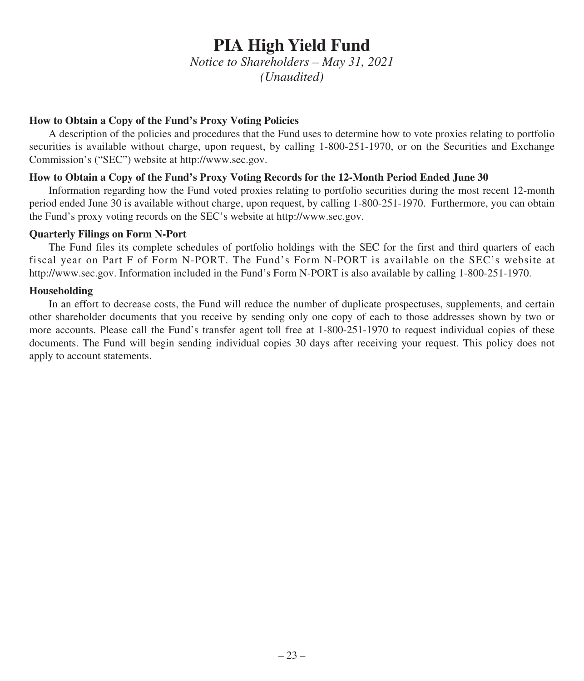*Notice to Shareholders – May 31, 2021 (Unaudited)*

### **How to Obtain a Copy of the Fund's Proxy Voting Policies**

A description of the policies and procedures that the Fund uses to determine how to vote proxies relating to portfolio securities is available without charge, upon request, by calling 1-800-251-1970, or on the Securities and Exchange Commission's ("SEC") website at http://www.sec.gov.

### **How to Obtain a Copy of the Fund's Proxy Voting Records for the 12-Month Period Ended June 30**

Information regarding how the Fund voted proxies relating to portfolio securities during the most recent 12-month period ended June 30 is available without charge, upon request, by calling 1-800-251-1970. Furthermore, you can obtain the Fund's proxy voting records on the SEC's website at http://www.sec.gov.

### **Quarterly Filings on Form N-Port**

The Fund files its complete schedules of portfolio holdings with the SEC for the first and third quarters of each fiscal year on Part F of Form N-PORT. The Fund's Form N-PORT is available on the SEC's website at http://www.sec.gov. Information included in the Fund's Form N-PORT is also available by calling 1-800-251-1970.

### **Householding**

In an effort to decrease costs, the Fund will reduce the number of duplicate prospectuses, supplements, and certain other shareholder documents that you receive by sending only one copy of each to those addresses shown by two or more accounts. Please call the Fund's transfer agent toll free at 1-800-251-1970 to request individual copies of these documents. The Fund will begin sending individual copies 30 days after receiving your request. This policy does not apply to account statements.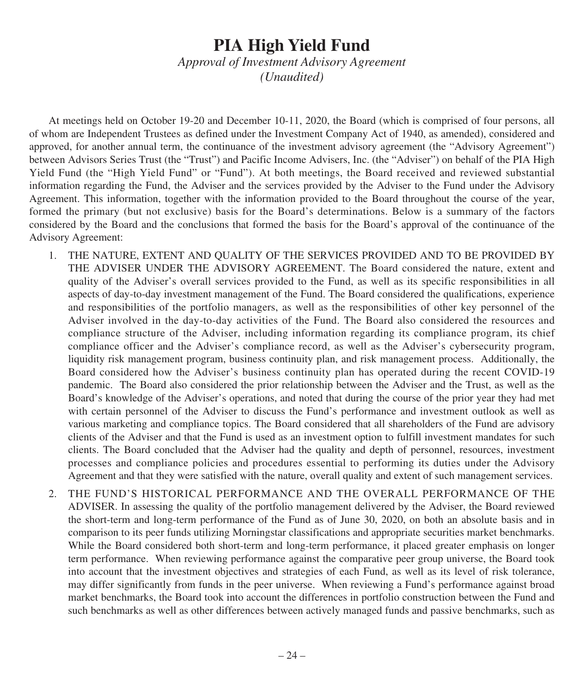*Approval of Investment Advisory Agreement (Unaudited)*

At meetings held on October 19-20 and December 10-11, 2020, the Board (which is comprised of four persons, all of whom are Independent Trustees as defined under the Investment Company Act of 1940, as amended), considered and approved, for another annual term, the continuance of the investment advisory agreement (the "Advisory Agreement") between Advisors Series Trust (the "Trust") and Pacific Income Advisers, Inc. (the "Adviser") on behalf of the PIA High Yield Fund (the "High Yield Fund" or "Fund"). At both meetings, the Board received and reviewed substantial information regarding the Fund, the Adviser and the services provided by the Adviser to the Fund under the Advisory Agreement. This information, together with the information provided to the Board throughout the course of the year, formed the primary (but not exclusive) basis for the Board's determinations. Below is a summary of the factors considered by the Board and the conclusions that formed the basis for the Board's approval of the continuance of the Advisory Agreement:

- 1. THE NATURE, EXTENT AND QUALITY OF THE SERVICES PROVIDED AND TO BE PROVIDED BY THE ADVISER UNDER THE ADVISORY AGREEMENT. The Board considered the nature, extent and quality of the Adviser's overall services provided to the Fund, as well as its specific responsibilities in all aspects of day-to-day investment management of the Fund. The Board considered the qualifications, experience and responsibilities of the portfolio managers, as well as the responsibilities of other key personnel of the Adviser involved in the day-to-day activities of the Fund. The Board also considered the resources and compliance structure of the Adviser, including information regarding its compliance program, its chief compliance officer and the Adviser's compliance record, as well as the Adviser's cybersecurity program, liquidity risk management program, business continuity plan, and risk management process. Additionally, the Board considered how the Adviser's business continuity plan has operated during the recent COVID-19 pandemic. The Board also considered the prior relationship between the Adviser and the Trust, as well as the Board's knowledge of the Adviser's operations, and noted that during the course of the prior year they had met with certain personnel of the Adviser to discuss the Fund's performance and investment outlook as well as various marketing and compliance topics. The Board considered that all shareholders of the Fund are advisory clients of the Adviser and that the Fund is used as an investment option to fulfill investment mandates for such clients. The Board concluded that the Adviser had the quality and depth of personnel, resources, investment processes and compliance policies and procedures essential to performing its duties under the Advisory Agreement and that they were satisfied with the nature, overall quality and extent of such management services.
- 2. THE FUND'S HISTORICAL PERFORMANCE AND THE OVERALL PERFORMANCE OF THE ADVISER. In assessing the quality of the portfolio management delivered by the Adviser, the Board reviewed the short-term and long-term performance of the Fund as of June 30, 2020, on both an absolute basis and in comparison to its peer funds utilizing Morningstar classifications and appropriate securities market benchmarks. While the Board considered both short-term and long-term performance, it placed greater emphasis on longer term performance. When reviewing performance against the comparative peer group universe, the Board took into account that the investment objectives and strategies of each Fund, as well as its level of risk tolerance, may differ significantly from funds in the peer universe. When reviewing a Fund's performance against broad market benchmarks, the Board took into account the differences in portfolio construction between the Fund and such benchmarks as well as other differences between actively managed funds and passive benchmarks, such as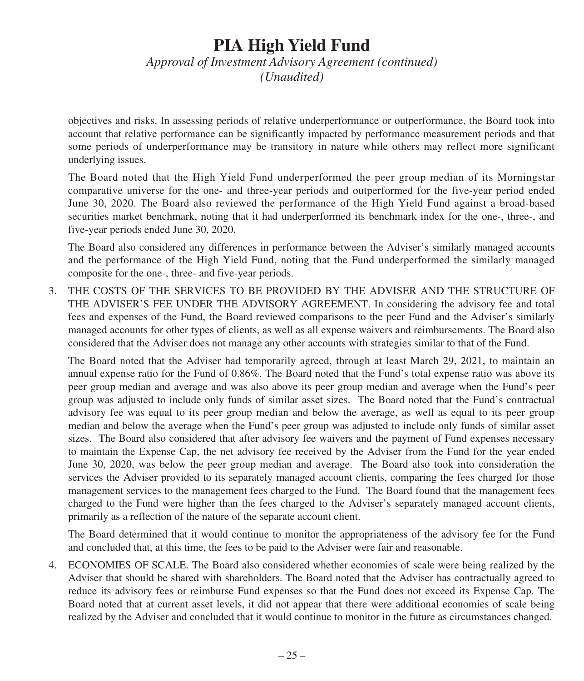### *Approval of Investment Advisory Agreement (continued) (Unaudited)*

objectives and risks. In assessing periods of relative underperformance or outperformance, the Board took into account that relative performance can be significantly impacted by performance measurement periods and that some periods of underperformance may be transitory in nature while others may reflect more significant underlying issues.

The Board noted that the High Yield Fund underperformed the peer group median of its Morningstar comparative universe for the one- and three-year periods and outperformed for the five-year period ended June 30, 2020. The Board also reviewed the performance of the High Yield Fund against a broad-based securities market benchmark, noting that it had underperformed its benchmark index for the one-, three-, and five-year periods ended June 30, 2020.

The Board also considered any differences in performance between the Adviser's similarly managed accounts and the performance of the High Yield Fund, noting that the Fund underperformed the similarly managed composite for the one-, three- and five-year periods.

3. THE COSTS OF THE SERVICES TO BE PROVIDED BY THE ADVISER AND THE STRUCTURE OF THE ADVISER'S FEE UNDER THE ADVISORY AGREEMENT. In considering the advisory fee and total fees and expenses of the Fund, the Board reviewed comparisons to the peer Fund and the Adviser's similarly managed accounts for other types of clients, as well as all expense waivers and reimbursements. The Board also considered that the Adviser does not manage any other accounts with strategies similar to that of the Fund.

The Board noted that the Adviser had temporarily agreed, through at least March 29, 2021, to maintain an annual expense ratio for the Fund of 0.86%. The Board noted that the Fund's total expense ratio was above its peer group median and average and was also above its peer group median and average when the Fund's peer group was adjusted to include only funds of similar asset sizes. The Board noted that the Fund's contractual advisory fee was equal to its peer group median and below the average, as well as equal to its peer group median and below the average when the Fund's peer group was adjusted to include only funds of similar asset sizes. The Board also considered that after advisory fee waivers and the payment of Fund expenses necessary to maintain the Expense Cap, the net advisory fee received by the Adviser from the Fund for the year ended June 30, 2020, was below the peer group median and average. The Board also took into consideration the services the Adviser provided to its separately managed account clients, comparing the fees charged for those management services to the management fees charged to the Fund. The Board found that the management fees charged to the Fund were higher than the fees charged to the Adviser's separately managed account clients, primarily as a reflection of the nature of the separate account client.

The Board determined that it would continue to monitor the appropriateness of the advisory fee for the Fund and concluded that, at this time, the fees to be paid to the Adviser were fair and reasonable.

4. ECONOMIES OF SCALE. The Board also considered whether economies of scale were being realized by the Adviser that should be shared with shareholders. The Board noted that the Adviser has contractually agreed to reduce its advisory fees or reimburse Fund expenses so that the Fund does not exceed its Expense Cap. The Board noted that at current asset levels, it did not appear that there were additional economies of scale being realized by the Adviser and concluded that it would continue to monitor in the future as circumstances changed.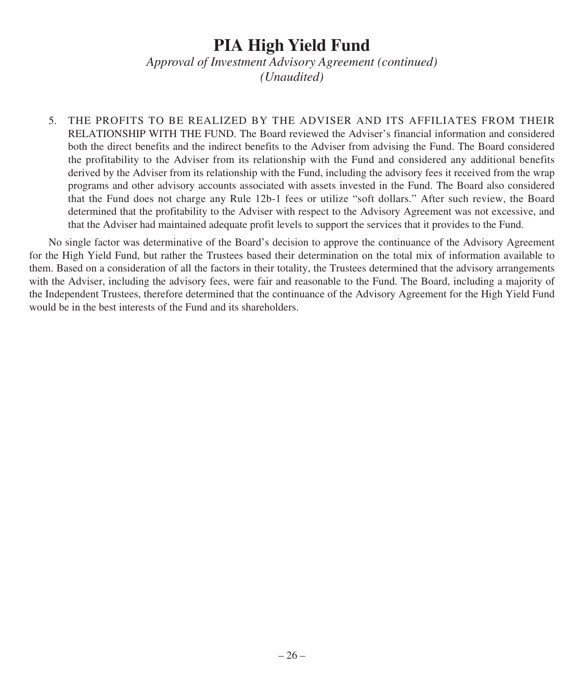*Approval of Investment Advisory Agreement (continued) (Unaudited)*

5. THE PROFITS TO BE REALIZED BY THE ADVISER AND ITS AFFILIATES FROM THEIR RELATIONSHIP WITH THE FUND. The Board reviewed the Adviser's financial information and considered both the direct benefits and the indirect benefits to the Adviser from advising the Fund. The Board considered the profitability to the Adviser from its relationship with the Fund and considered any additional benefits derived by the Adviser from its relationship with the Fund, including the advisory fees it received from the wrap programs and other advisory accounts associated with assets invested in the Fund. The Board also considered that the Fund does not charge any Rule 12b-1 fees or utilize "soft dollars." After such review, the Board determined that the profitability to the Adviser with respect to the Advisory Agreement was not excessive, and that the Adviser had maintained adequate profit levels to support the services that it provides to the Fund.

No single factor was determinative of the Board's decision to approve the continuance of the Advisory Agreement for the High Yield Fund, but rather the Trustees based their determination on the total mix of information available to them. Based on a consideration of all the factors in their totality, the Trustees determined that the advisory arrangements with the Adviser, including the advisory fees, were fair and reasonable to the Fund. The Board, including a majority of the Independent Trustees, therefore determined that the continuance of the Advisory Agreement for the High Yield Fund would be in the best interests of the Fund and its shareholders.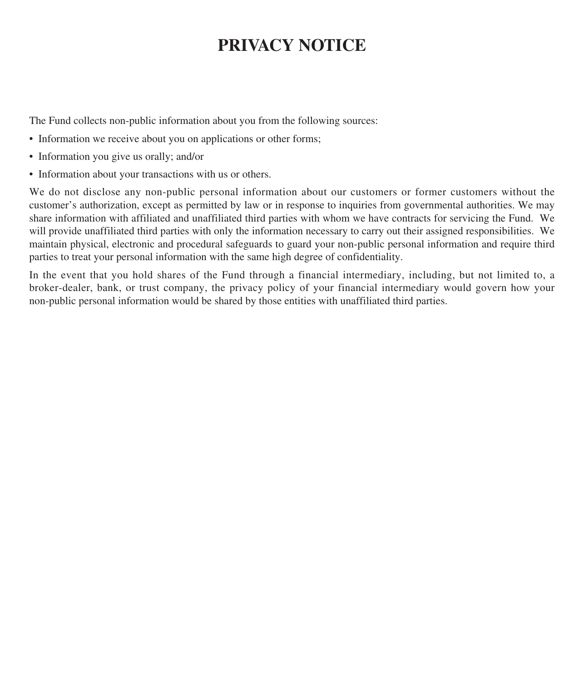## **PRIVACY NOTICE**

The Fund collects non-public information about you from the following sources:

- Information we receive about you on applications or other forms;
- Information you give us orally; and/or
- Information about your transactions with us or others.

We do not disclose any non-public personal information about our customers or former customers without the customer's authorization, except as permitted by law or in response to inquiries from governmental authorities. We may share information with affiliated and unaffiliated third parties with whom we have contracts for servicing the Fund. We will provide unaffiliated third parties with only the information necessary to carry out their assigned responsibilities. We maintain physical, electronic and procedural safeguards to guard your non-public personal information and require third parties to treat your personal information with the same high degree of confidentiality.

In the event that you hold shares of the Fund through a financial intermediary, including, but not limited to, a broker-dealer, bank, or trust company, the privacy policy of your financial intermediary would govern how your non-public personal information would be shared by those entities with unaffiliated third parties.